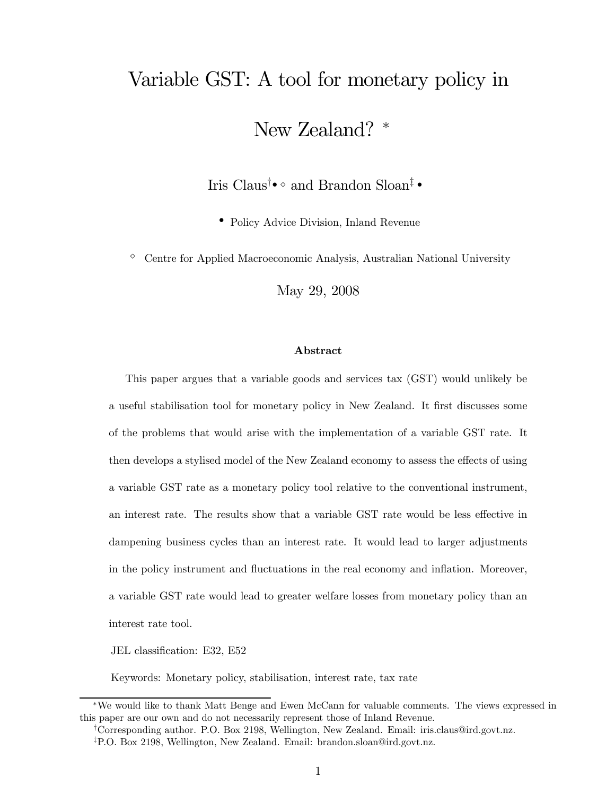# Variable GST: A tool for monetary policy in New Zealand? <sup>∗</sup>

Iris Claus<sup>†</sup>•<sup></sup>  $\circ$  and Brandon Sloan<sup>‡</sup> •

• Policy Advice Division, Inland Revenue

 $\circ$  Centre for Applied Macroeconomic Analysis, Australian National University

May 29, 2008

#### Abstract

This paper argues that a variable goods and services tax (GST) would unlikely be a useful stabilisation tool for monetary policy in New Zealand. It first discusses some of the problems that would arise with the implementation of a variable GST rate. It then develops a stylised model of the New Zealand economy to assess the effects of using a variable GST rate as a monetary policy tool relative to the conventional instrument, an interest rate. The results show that a variable GST rate would be less effective in dampening business cycles than an interest rate. It would lead to larger adjustments in the policy instrument and fluctuations in the real economy and inflation. Moreover, a variable GST rate would lead to greater welfare losses from monetary policy than an interest rate tool.

JEL classification: E32, E52

Keywords: Monetary policy, stabilisation, interest rate, tax rate

<sup>∗</sup>We would like to thank Matt Benge and Ewen McCann for valuable comments. The views expressed in this paper are our own and do not necessarily represent those of Inland Revenue.

<sup>†</sup>Corresponding author. P.O. Box 2198, Wellington, New Zealand. Email: iris.claus@ird.govt.nz.

<sup>‡</sup>P.O. Box 2198, Wellington, New Zealand. Email: brandon.sloan@ird.govt.nz.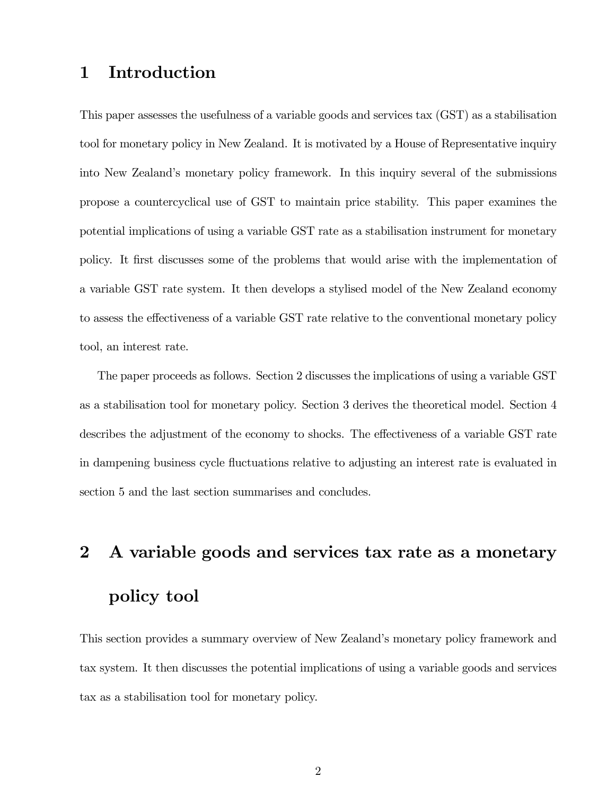# 1 Introduction

This paper assesses the usefulness of a variable goods and services tax (GST) as a stabilisation tool for monetary policy in New Zealand. It is motivated by a House of Representative inquiry into New Zealand's monetary policy framework. In this inquiry several of the submissions propose a countercyclical use of GST to maintain price stability. This paper examines the potential implications of using a variable GST rate as a stabilisation instrument for monetary policy. It first discusses some of the problems that would arise with the implementation of a variable GST rate system. It then develops a stylised model of the New Zealand economy to assess the effectiveness of a variable GST rate relative to the conventional monetary policy tool, an interest rate.

The paper proceeds as follows. Section 2 discusses the implications of using a variable GST as a stabilisation tool for monetary policy. Section 3 derives the theoretical model. Section 4 describes the adjustment of the economy to shocks. The effectiveness of a variable GST rate in dampening business cycle fluctuations relative to adjusting an interest rate is evaluated in section 5 and the last section summarises and concludes.

# 2 A variable goods and services tax rate as a monetary policy tool

This section provides a summary overview of New Zealand's monetary policy framework and tax system. It then discusses the potential implications of using a variable goods and services tax as a stabilisation tool for monetary policy.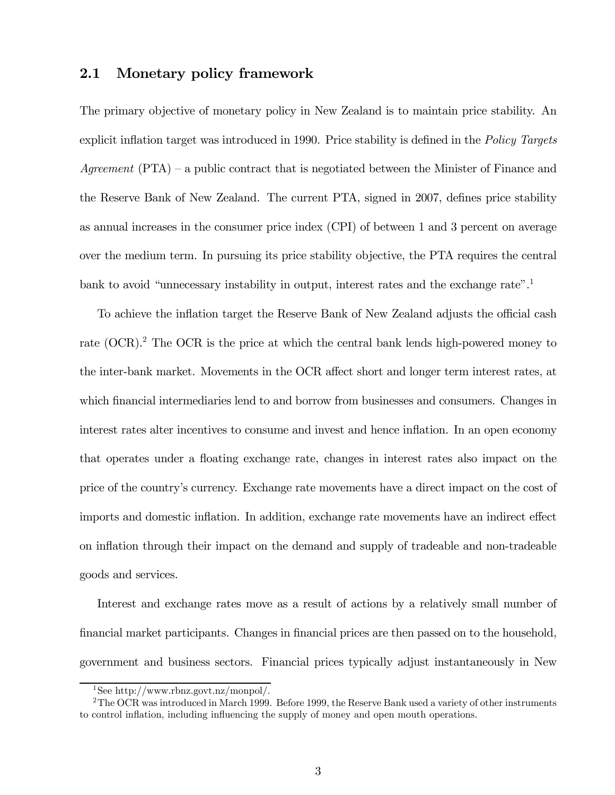# 2.1 Monetary policy framework

The primary objective of monetary policy in New Zealand is to maintain price stability. An explicit inflation target was introduced in 1990. Price stability is defined in the *Policy Targets* Agreement  $(PTA)$  – a public contract that is negotiated between the Minister of Finance and the Reserve Bank of New Zealand. The current PTA, signed in 2007, defines price stability as annual increases in the consumer price index (CPI) of between 1 and 3 percent on average over the medium term. In pursuing its price stability objective, the PTA requires the central bank to avoid "unnecessary instability in output, interest rates and the exchange rate".<sup>1</sup>

To achieve the inflation target the Reserve Bank of New Zealand adjusts the official cash rate (OCR).<sup>2</sup> The OCR is the price at which the central bank lends high-powered money to the inter-bank market. Movements in the OCR affect short and longer term interest rates, at which financial intermediaries lend to and borrow from businesses and consumers. Changes in interest rates alter incentives to consume and invest and hence inflation. In an open economy that operates under a floating exchange rate, changes in interest rates also impact on the price of the country's currency. Exchange rate movements have a direct impact on the cost of imports and domestic inflation. In addition, exchange rate movements have an indirect effect on inflation through their impact on the demand and supply of tradeable and non-tradeable goods and services.

Interest and exchange rates move as a result of actions by a relatively small number of financial market participants. Changes in financial prices are then passed on to the household, government and business sectors. Financial prices typically adjust instantaneously in New

<sup>1</sup>See http://www.rbnz.govt.nz/monpol/.

<sup>&</sup>lt;sup>2</sup>The OCR was introduced in March 1999. Before 1999, the Reserve Bank used a variety of other instruments to control inflation, including influencing the supply of money and open mouth operations.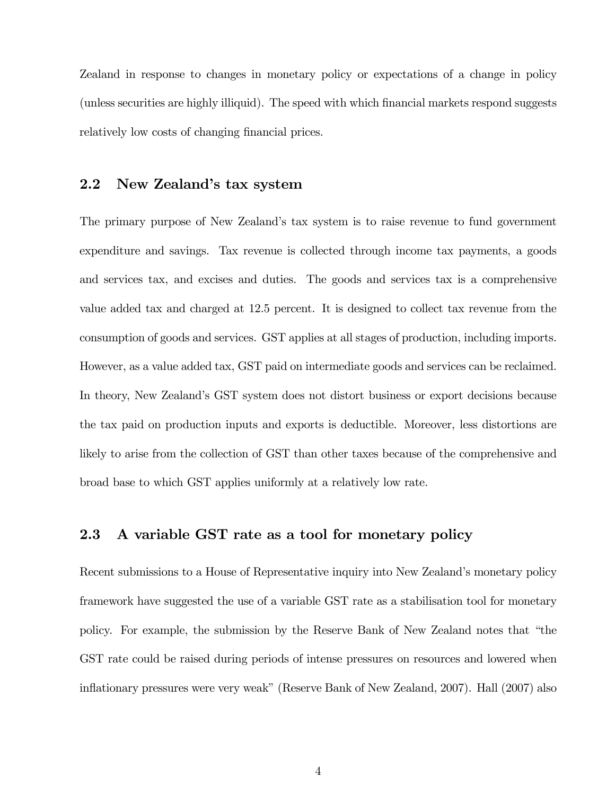Zealand in response to changes in monetary policy or expectations of a change in policy (unless securities are highly illiquid). The speed with which financial markets respond suggests relatively low costs of changing financial prices.

### 2.2 New Zealand's tax system

The primary purpose of New Zealand's tax system is to raise revenue to fund government expenditure and savings. Tax revenue is collected through income tax payments, a goods and services tax, and excises and duties. The goods and services tax is a comprehensive value added tax and charged at 12.5 percent. It is designed to collect tax revenue from the consumption of goods and services. GST applies at all stages of production, including imports. However, as a value added tax, GST paid on intermediate goods and services can be reclaimed. In theory, New Zealand's GST system does not distort business or export decisions because the tax paid on production inputs and exports is deductible. Moreover, less distortions are likely to arise from the collection of GST than other taxes because of the comprehensive and broad base to which GST applies uniformly at a relatively low rate.

# 2.3 A variable GST rate as a tool for monetary policy

Recent submissions to a House of Representative inquiry into New Zealand's monetary policy framework have suggested the use of a variable GST rate as a stabilisation tool for monetary policy. For example, the submission by the Reserve Bank of New Zealand notes that "the GST rate could be raised during periods of intense pressures on resources and lowered when inflationary pressures were very weak" (Reserve Bank of New Zealand, 2007). Hall (2007) also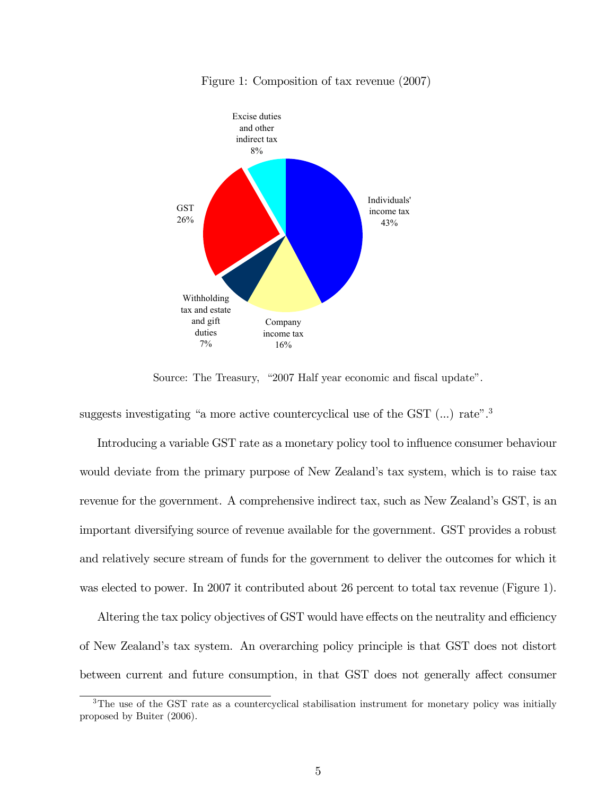

Figure 1: Composition of tax revenue (2007)

Source: The Treasury, "2007 Half year economic and fiscal update".

suggests investigating "a more active countercyclical use of the GST  $(...)$  rate".<sup>3</sup>

Introducing a variable GST rate as a monetary policy tool to influence consumer behaviour would deviate from the primary purpose of New Zealand's tax system, which is to raise tax revenue for the government. A comprehensive indirect tax, such as New Zealand's GST, is an important diversifying source of revenue available for the government. GST provides a robust and relatively secure stream of funds for the government to deliver the outcomes for which it was elected to power. In 2007 it contributed about 26 percent to total tax revenue (Figure 1).

Altering the tax policy objectives of GST would have effects on the neutrality and efficiency of New Zealand's tax system. An overarching policy principle is that GST does not distort between current and future consumption, in that GST does not generally affect consumer

<sup>&</sup>lt;sup>3</sup>The use of the GST rate as a countercyclical stabilisation instrument for monetary policy was initially proposed by Buiter (2006).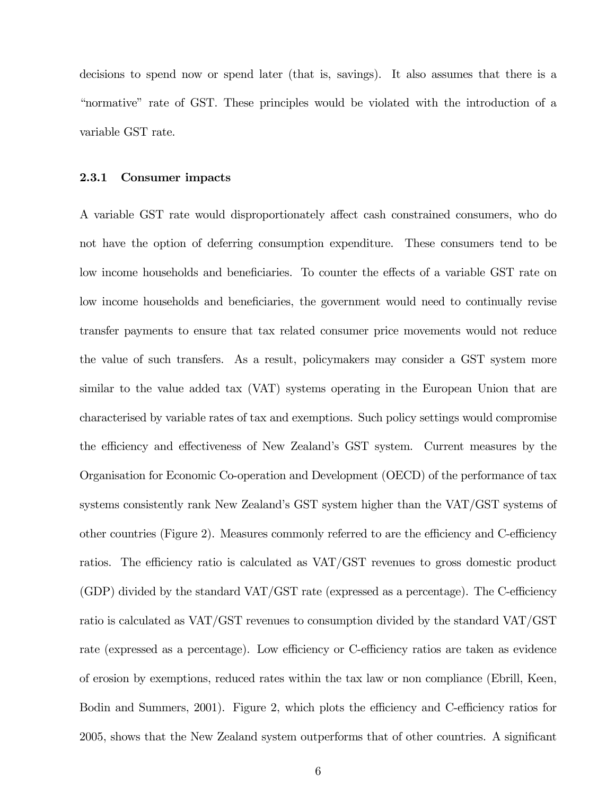decisions to spend now or spend later (that is, savings). It also assumes that there is a "normative" rate of GST. These principles would be violated with the introduction of a variable GST rate.

#### 2.3.1 Consumer impacts

A variable GST rate would disproportionately affect cash constrained consumers, who do not have the option of deferring consumption expenditure. These consumers tend to be low income households and beneficiaries. To counter the effects of a variable GST rate on low income households and beneficiaries, the government would need to continually revise transfer payments to ensure that tax related consumer price movements would not reduce the value of such transfers. As a result, policymakers may consider a GST system more similar to the value added tax (VAT) systems operating in the European Union that are characterised by variable rates of tax and exemptions. Such policy settings would compromise the efficiency and effectiveness of New Zealand's GST system. Current measures by the Organisation for Economic Co-operation and Development (OECD) of the performance of tax systems consistently rank New Zealand's GST system higher than the VAT/GST systems of other countries (Figure 2). Measures commonly referred to are the efficiency and C-efficiency ratios. The efficiency ratio is calculated as VAT/GST revenues to gross domestic product (GDP) divided by the standard VAT/GST rate (expressed as a percentage). The C-efficiency ratio is calculated as VAT/GST revenues to consumption divided by the standard VAT/GST rate (expressed as a percentage). Low efficiency or C-efficiency ratios are taken as evidence of erosion by exemptions, reduced rates within the tax law or non compliance (Ebrill, Keen, Bodin and Summers, 2001). Figure 2, which plots the efficiency and C-efficiency ratios for 2005, shows that the New Zealand system outperforms that of other countries. A significant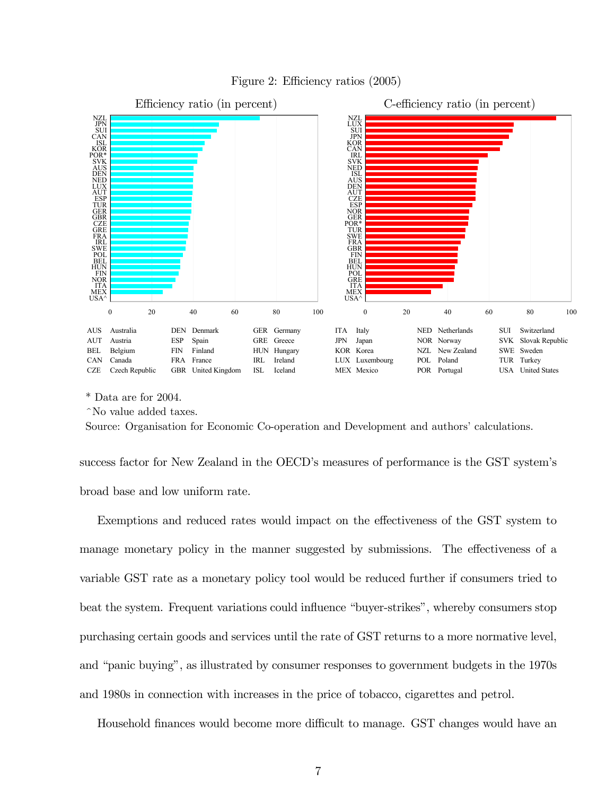

Figure 2: Efficiency ratios (2005)

\* Data are for 2004.

^No value added taxes.

Source: Organisation for Economic Co-operation and Development and authors' calculations.

success factor for New Zealand in the OECD's measures of performance is the GST system's broad base and low uniform rate.

Exemptions and reduced rates would impact on the effectiveness of the GST system to manage monetary policy in the manner suggested by submissions. The effectiveness of a variable GST rate as a monetary policy tool would be reduced further if consumers tried to beat the system. Frequent variations could influence "buyer-strikes", whereby consumers stop purchasing certain goods and services until the rate of GST returns to a more normative level, and "panic buying", as illustrated by consumer responses to government budgets in the 1970s and 1980s in connection with increases in the price of tobacco, cigarettes and petrol.

Household finances would become more difficult to manage. GST changes would have an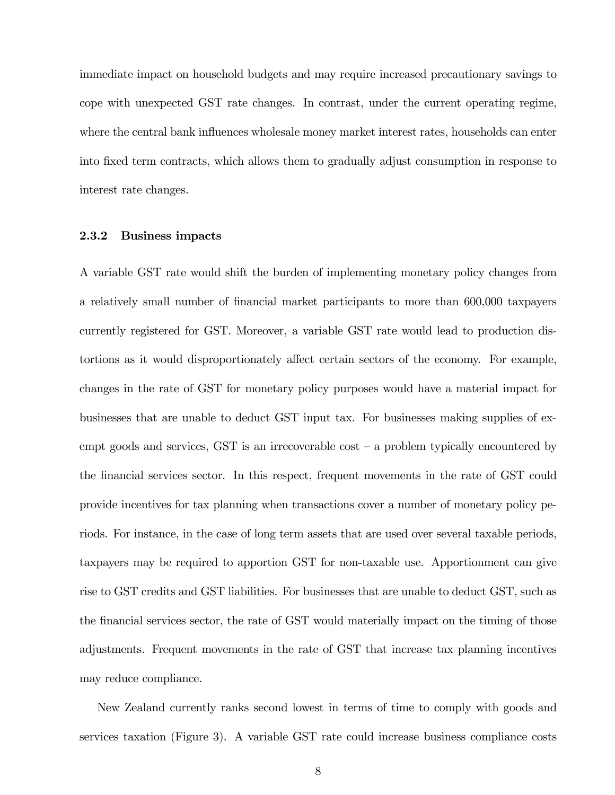immediate impact on household budgets and may require increased precautionary savings to cope with unexpected GST rate changes. In contrast, under the current operating regime, where the central bank influences wholesale money market interest rates, households can enter into fixed term contracts, which allows them to gradually adjust consumption in response to interest rate changes.

#### 2.3.2 Business impacts

A variable GST rate would shift the burden of implementing monetary policy changes from a relatively small number of financial market participants to more than 600,000 taxpayers currently registered for GST. Moreover, a variable GST rate would lead to production distortions as it would disproportionately affect certain sectors of the economy. For example, changes in the rate of GST for monetary policy purposes would have a material impact for businesses that are unable to deduct GST input tax. For businesses making supplies of exempt goods and services,  $\text{GST}$  is an irrecoverable cost  $-$  a problem typically encountered by the financial services sector. In this respect, frequent movements in the rate of GST could provide incentives for tax planning when transactions cover a number of monetary policy periods. For instance, in the case of long term assets that are used over several taxable periods, taxpayers may be required to apportion GST for non-taxable use. Apportionment can give rise to GST credits and GST liabilities. For businesses that are unable to deduct GST, such as the financial services sector, the rate of GST would materially impact on the timing of those adjustments. Frequent movements in the rate of GST that increase tax planning incentives may reduce compliance.

New Zealand currently ranks second lowest in terms of time to comply with goods and services taxation (Figure 3). A variable GST rate could increase business compliance costs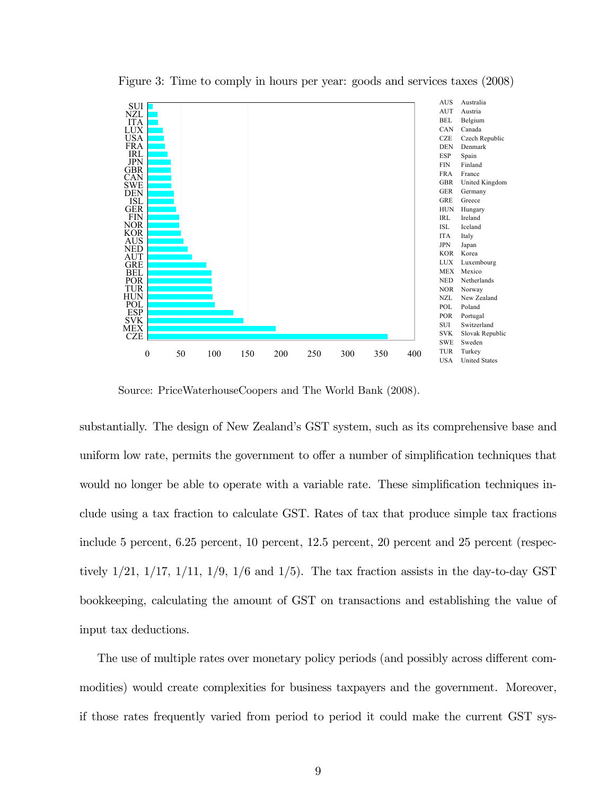

Figure 3: Time to comply in hours per year: goods and services taxes (2008)

Source: PriceWaterhouseCoopers and The World Bank (2008).

substantially. The design of New Zealand's GST system, such as its comprehensive base and uniform low rate, permits the government to offer a number of simplification techniques that would no longer be able to operate with a variable rate. These simplification techniques include using a tax fraction to calculate GST. Rates of tax that produce simple tax fractions include 5 percent, 6.25 percent, 10 percent, 12.5 percent, 20 percent and 25 percent (respectively  $1/21$ ,  $1/17$ ,  $1/11$ ,  $1/9$ ,  $1/6$  and  $1/5$ ). The tax fraction assists in the day-to-day GST bookkeeping, calculating the amount of GST on transactions and establishing the value of input tax deductions.

The use of multiple rates over monetary policy periods (and possibly across different commodities) would create complexities for business taxpayers and the government. Moreover, if those rates frequently varied from period to period it could make the current GST sys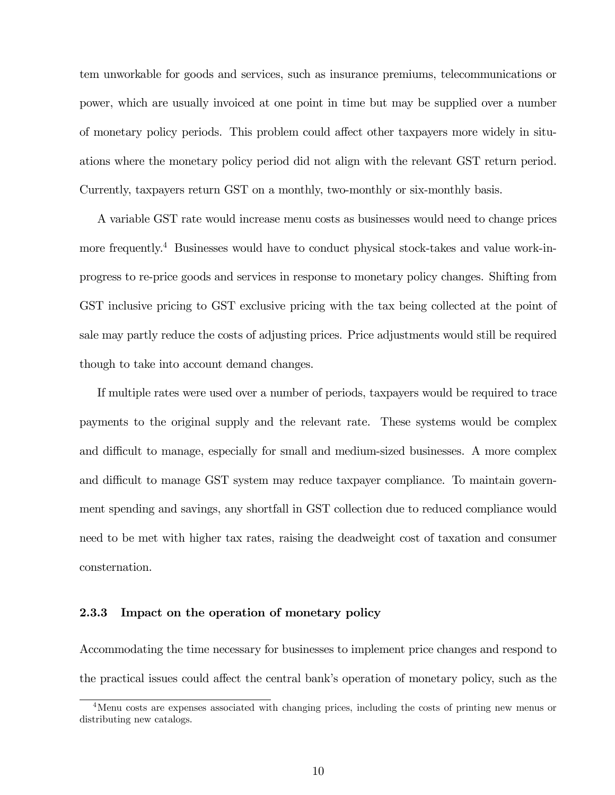tem unworkable for goods and services, such as insurance premiums, telecommunications or power, which are usually invoiced at one point in time but may be supplied over a number of monetary policy periods. This problem could affect other taxpayers more widely in situations where the monetary policy period did not align with the relevant GST return period. Currently, taxpayers return GST on a monthly, two-monthly or six-monthly basis.

A variable GST rate would increase menu costs as businesses would need to change prices more frequently.<sup>4</sup> Businesses would have to conduct physical stock-takes and value work-inprogress to re-price goods and services in response to monetary policy changes. Shifting from GST inclusive pricing to GST exclusive pricing with the tax being collected at the point of sale may partly reduce the costs of adjusting prices. Price adjustments would still be required though to take into account demand changes.

If multiple rates were used over a number of periods, taxpayers would be required to trace payments to the original supply and the relevant rate. These systems would be complex and difficult to manage, especially for small and medium-sized businesses. A more complex and difficult to manage GST system may reduce taxpayer compliance. To maintain government spending and savings, any shortfall in GST collection due to reduced compliance would need to be met with higher tax rates, raising the deadweight cost of taxation and consumer consternation.

#### 2.3.3 Impact on the operation of monetary policy

Accommodating the time necessary for businesses to implement price changes and respond to the practical issues could affect the central bank's operation of monetary policy, such as the

<sup>4</sup>Menu costs are expenses associated with changing prices, including the costs of printing new menus or distributing new catalogs.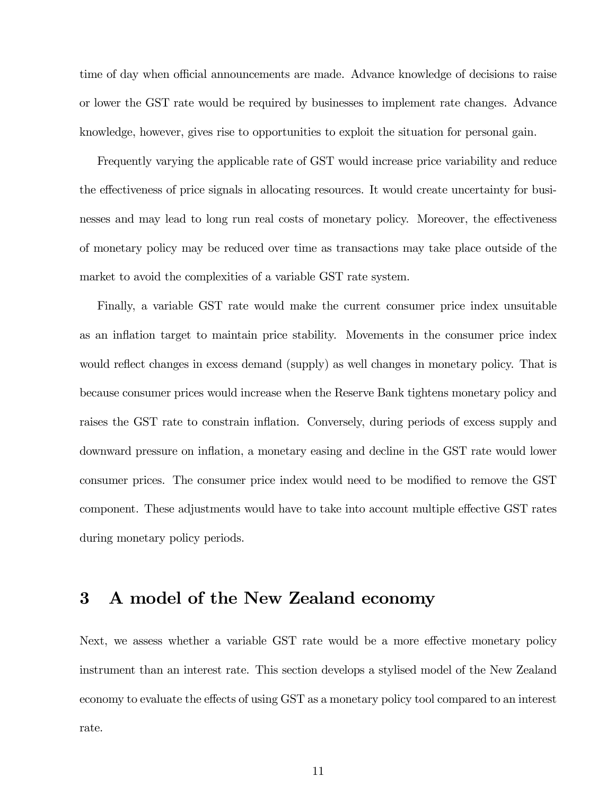time of day when official announcements are made. Advance knowledge of decisions to raise or lower the GST rate would be required by businesses to implement rate changes. Advance knowledge, however, gives rise to opportunities to exploit the situation for personal gain.

Frequently varying the applicable rate of GST would increase price variability and reduce the effectiveness of price signals in allocating resources. It would create uncertainty for businesses and may lead to long run real costs of monetary policy. Moreover, the effectiveness of monetary policy may be reduced over time as transactions may take place outside of the market to avoid the complexities of a variable GST rate system.

Finally, a variable GST rate would make the current consumer price index unsuitable as an inflation target to maintain price stability. Movements in the consumer price index would reflect changes in excess demand (supply) as well changes in monetary policy. That is because consumer prices would increase when the Reserve Bank tightens monetary policy and raises the GST rate to constrain inflation. Conversely, during periods of excess supply and downward pressure on inflation, a monetary easing and decline in the GST rate would lower consumer prices. The consumer price index would need to be modified to remove the GST component. These adjustments would have to take into account multiple effective GST rates during monetary policy periods.

# 3 A model of the New Zealand economy

Next, we assess whether a variable GST rate would be a more effective monetary policy instrument than an interest rate. This section develops a stylised model of the New Zealand economy to evaluate the effects of using GST as a monetary policy tool compared to an interest rate.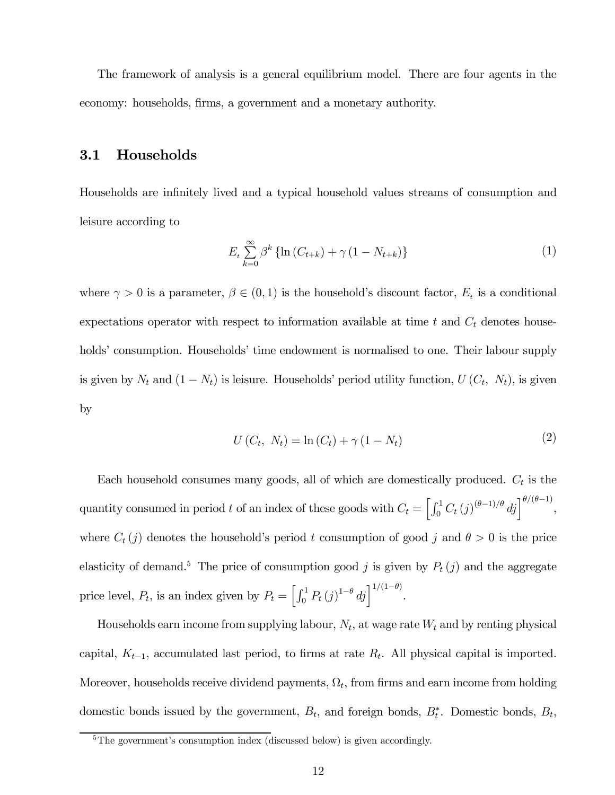The framework of analysis is a general equilibrium model. There are four agents in the economy: households, firms, a government and a monetary authority.

## 3.1 Households

Households are infinitely lived and a typical household values streams of consumption and leisure according to

$$
E_{t} \sum_{k=0}^{\infty} \beta^{k} \left\{ \ln \left( C_{t+k} \right) + \gamma \left( 1 - N_{t+k} \right) \right\} \tag{1}
$$

where  $\gamma > 0$  is a parameter,  $\beta \in (0, 1)$  is the household's discount factor,  $E_t$  is a conditional expectations operator with respect to information available at time  $t$  and  $C_t$  denotes households' consumption. Households' time endowment is normalised to one. Their labour supply is given by  $N_t$  and  $(1 - N_t)$  is leisure. Households' period utility function,  $U(C_t, N_t)$ , is given by

$$
U(C_t, N_t) = \ln(C_t) + \gamma (1 - N_t)
$$
\n(2)

Each household consumes many goods, all of which are domestically produced.  $C_t$  is the quantity consumed in period t of an index of these goods with  $C_t = \left[\int_0^1 C_t (j)^{(\theta-1)/\theta} dj \right]^{\theta/(\theta-1)}$ , where  $C_t(j)$  denotes the household's period t consumption of good j and  $\theta > 0$  is the price elasticity of demand.<sup>5</sup> The price of consumption good j is given by  $P_t(j)$  and the aggregate price level,  $P_t$ , is an index given by  $P_t = \left[\int_0^1 P_t(j)^{1-\theta} dj\right]^{1/(1-\theta)}$ .

Households earn income from supplying labour,  $N_t$ , at wage rate  $W_t$  and by renting physical capital,  $K_{t-1}$ , accumulated last period, to firms at rate  $R_t$ . All physical capital is imported. Moreover, households receive dividend payments,  $\Omega_t$ , from firms and earn income from holding domestic bonds issued by the government,  $B_t$ , and foreign bonds,  $B_t^*$ . Domestic bonds,  $B_t$ ,

<sup>&</sup>lt;sup>5</sup>The government's consumption index (discussed below) is given accordingly.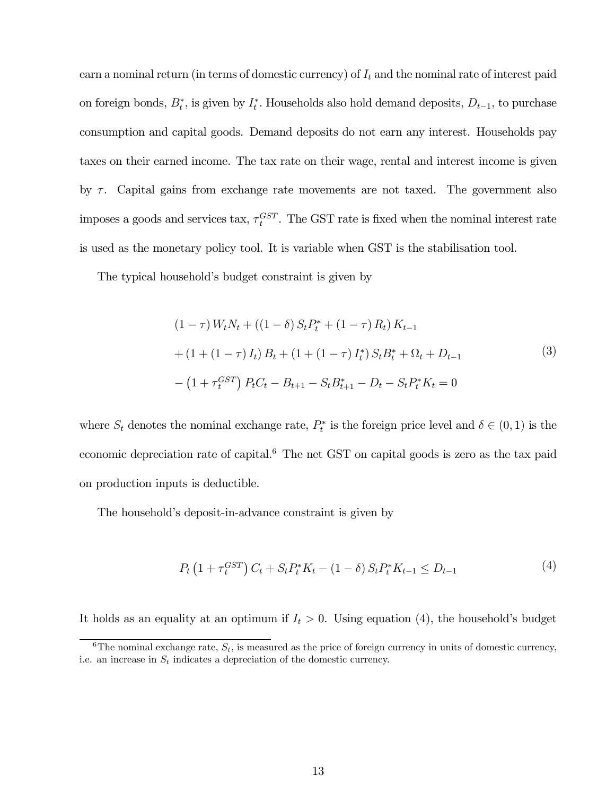earn a nominal return (in terms of domestic currency) of  $I_t$  and the nominal rate of interest paid on foreign bonds,  $B_t^*$ , is given by  $I_t^*$ . Households also hold demand deposits,  $D_{t-1}$ , to purchase consumption and capital goods. Demand deposits do not earn any interest. Households pay taxes on their earned income. The tax rate on their wage, rental and interest income is given by  $\tau$ . Capital gains from exchange rate movements are not taxed. The government also imposes a goods and services tax,  $\tau_t^{GST}$ . The GST rate is fixed when the nominal interest rate is used as the monetary policy tool. It is variable when GST is the stabilisation tool.

The typical household's budget constraint is given by

$$
(1 - \tau) W_t N_t + ((1 - \delta) S_t P_t^* + (1 - \tau) R_t) K_{t-1}
$$
  
+ 
$$
(1 + (1 - \tau) I_t) B_t + (1 + (1 - \tau) I_t^*) S_t B_t^* + \Omega_t + D_{t-1}
$$
  
- 
$$
(1 + \tau_t^{GST}) P_t C_t - B_{t+1} - S_t B_{t+1}^* - D_t - S_t P_t^* K_t = 0
$$
 (3)

where  $S_t$  denotes the nominal exchange rate,  $P_t^*$  is the foreign price level and  $\delta \in (0,1)$  is the economic depreciation rate of capital.<sup>6</sup> The net GST on capital goods is zero as the tax paid on production inputs is deductible.

The household's deposit-in-advance constraint is given by

$$
P_t\left(1 + \tau_t^{GST}\right)C_t + S_t P_t^* K_t - (1 - \delta) S_t P_t^* K_{t-1} \le D_{t-1} \tag{4}
$$

It holds as an equality at an optimum if  $I_t > 0$ . Using equation (4), the household's budget

<sup>&</sup>lt;sup>6</sup>The nominal exchange rate,  $S_t$ , is measured as the price of foreign currency in units of domestic currency, i.e. an increase in  $S_t$  indicates a depreciation of the domestic currency.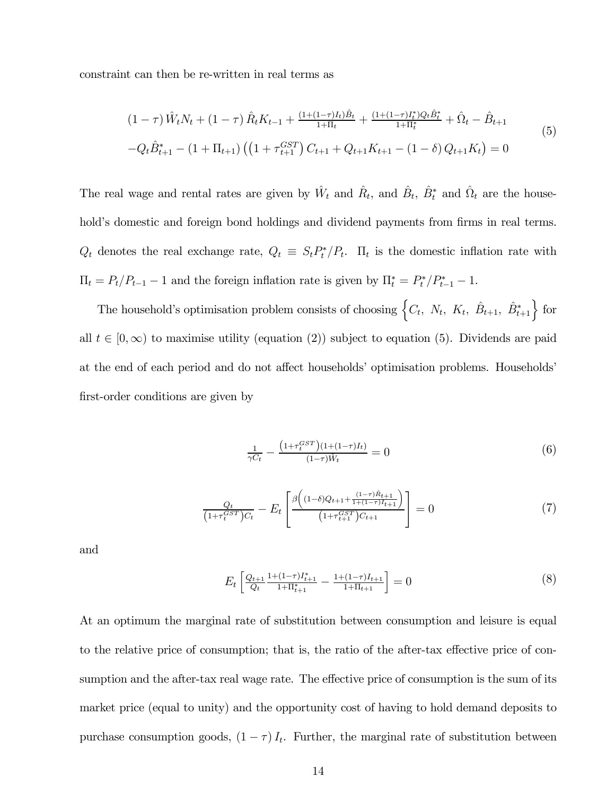constraint can then be re-written in real terms as

$$
(1 - \tau) \hat{W}_t N_t + (1 - \tau) \hat{R}_t K_{t-1} + \frac{(1 + (1 - \tau)I_t)\hat{B}_t}{1 + \Pi_t} + \frac{(1 + (1 - \tau)I_t^*)Q_t\hat{B}_t^*}{1 + \Pi_t^*} + \hat{\Omega}_t - \hat{B}_{t+1}
$$
  
\n
$$
-Q_t \hat{B}_{t+1}^* - (1 + \Pi_{t+1}) \left( \left( 1 + \tau_{t+1}^{GST} \right) C_{t+1} + Q_{t+1} K_{t+1} - (1 - \delta) Q_{t+1} K_t \right) = 0
$$
\n
$$
(5)
$$

The real wage and rental rates are given by  $\hat{W}_t$  and  $\hat{R}_t$ , and  $\hat{B}_t$ ,  $\hat{B}_t^*$  and  $\hat{\Omega}_t$  are the household's domestic and foreign bond holdings and dividend payments from firms in real terms.  $Q_t$  denotes the real exchange rate,  $Q_t \equiv S_t P_t^* / P_t$ .  $\Pi_t$  is the domestic inflation rate with  $\Pi_t = P_t/P_{t-1} - 1$  and the foreign inflation rate is given by  $\Pi_t^* = P_t^* / P_{t-1}^* - 1$ .

The household's optimisation problem consists of choosing  $\left\{C_t, N_t, K_t, \hat{B}_{t+1}, \hat{B}_{t+1}^*\right\}$  for all  $t \in [0,\infty)$  to maximise utility (equation (2)) subject to equation (5). Dividends are paid at the end of each period and do not affect households' optimisation problems. Households' first-order conditions are given by

$$
\frac{1}{\gamma C_t} - \frac{\left(1 + \tau_t^{GST}\right)(1 + (1 - \tau)I_t)}{(1 - \tau)\hat{W}_t} = 0
$$
\n<sup>(6)</sup>

$$
\frac{Q_t}{(1+\tau_t^{GST})C_t} - E_t \left[ \frac{\beta \left( (1-\delta)Q_{t+1} + \frac{(1-\tau)\hat{R}_{t+1}}{1+(1-\tau)I_{t+1}} \right)}{(1+\tau_{t+1}^{GST})C_{t+1}} \right] = 0 \tag{7}
$$

and

$$
E_t \left[ \frac{Q_{t+1}}{Q_t} \frac{1 + (1 - \tau)I_{t+1}^*}{1 + \Pi_{t+1}^*} - \frac{1 + (1 - \tau)I_{t+1}}{1 + \Pi_{t+1}} \right] = 0 \tag{8}
$$

At an optimum the marginal rate of substitution between consumption and leisure is equal to the relative price of consumption; that is, the ratio of the after-tax effective price of consumption and the after-tax real wage rate. The effective price of consumption is the sum of its market price (equal to unity) and the opportunity cost of having to hold demand deposits to purchase consumption goods,  $(1 - \tau) I_t$ . Further, the marginal rate of substitution between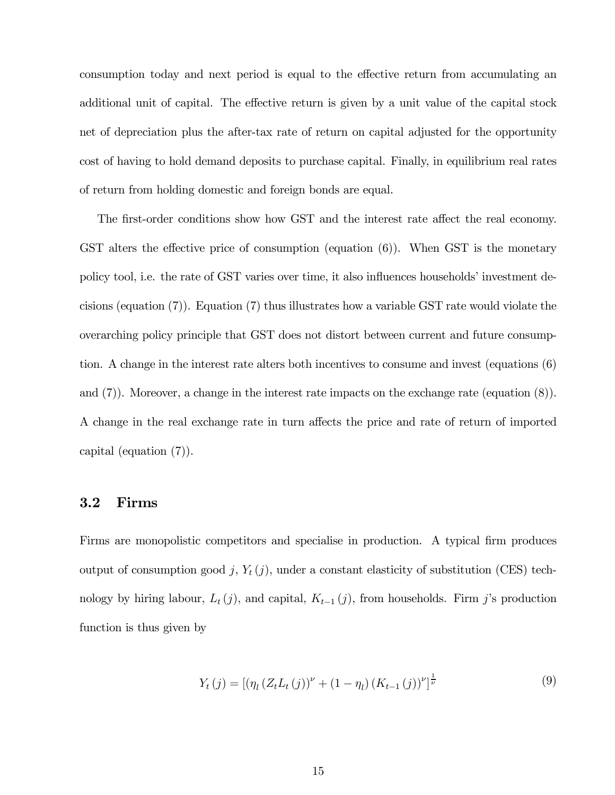consumption today and next period is equal to the effective return from accumulating an additional unit of capital. The effective return is given by a unit value of the capital stock net of depreciation plus the after-tax rate of return on capital adjusted for the opportunity cost of having to hold demand deposits to purchase capital. Finally, in equilibrium real rates of return from holding domestic and foreign bonds are equal.

The first-order conditions show how GST and the interest rate affect the real economy. GST alters the effective price of consumption (equation (6)). When GST is the monetary policy tool, i.e. the rate of GST varies over time, it also influences households' investment decisions (equation (7)). Equation (7) thus illustrates how a variable GST rate would violate the overarching policy principle that GST does not distort between current and future consumption. A change in the interest rate alters both incentives to consume and invest (equations (6) and (7)). Moreover, a change in the interest rate impacts on the exchange rate (equation (8)). A change in the real exchange rate in turn affects the price and rate of return of imported capital (equation (7)).

#### 3.2 Firms

Firms are monopolistic competitors and specialise in production. A typical firm produces output of consumption good j,  $Y_t(j)$ , under a constant elasticity of substitution (CES) technology by hiring labour,  $L_t(j)$ , and capital,  $K_{t-1}(j)$ , from households. Firm j's production function is thus given by

$$
Y_{t}(j) = \left[ \left( \eta_{l} \left( Z_{t} L_{t}(j) \right)^{\nu} + (1 - \eta_{l}) \left( K_{t-1}(j) \right)^{\nu} \right]^{\frac{1}{\nu}} \tag{9}
$$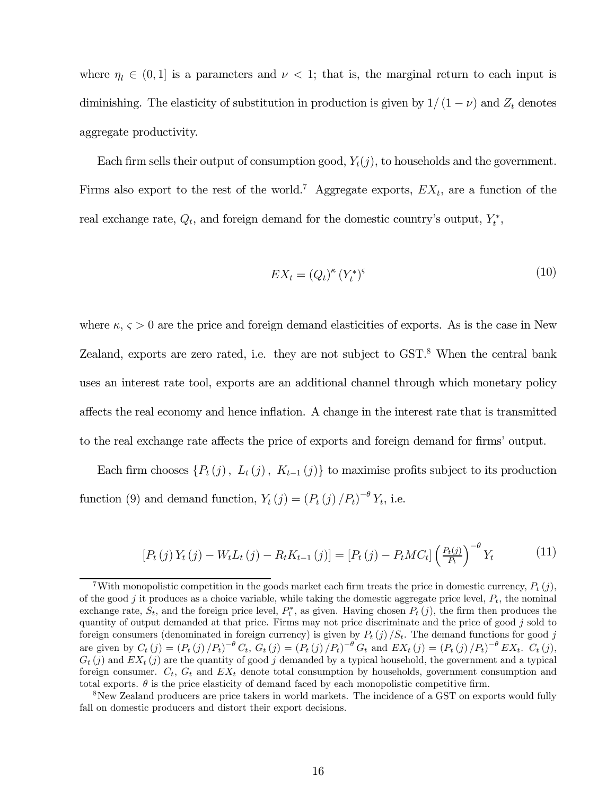where  $\eta_l \in (0,1]$  is a parameters and  $\nu < 1$ ; that is, the marginal return to each input is diminishing. The elasticity of substitution in production is given by  $1/(1-\nu)$  and  $Z_t$  denotes aggregate productivity.

Each firm sells their output of consumption good,  $Y_t(j)$ , to households and the government. Firms also export to the rest of the world.<sup>7</sup> Aggregate exports,  $EX_t$ , are a function of the real exchange rate,  $Q_t$ , and foreign demand for the domestic country's output,  $Y_t^*$ ,

$$
EX_t = (Q_t)^{\kappa} (Y_t^*)^{\varsigma}
$$
\n<sup>(10)</sup>

where  $\kappa$ ,  $\varsigma > 0$  are the price and foreign demand elasticities of exports. As is the case in New Zealand, exports are zero rated, i.e. they are not subject to GST.<sup>8</sup> When the central bank uses an interest rate tool, exports are an additional channel through which monetary policy affects the real economy and hence inflation. A change in the interest rate that is transmitted to the real exchange rate affects the price of exports and foreign demand for firms' output.

Each firm chooses  $\{P_t(j), L_t(j), K_{t-1}(j)\}\$ to maximise profits subject to its production function (9) and demand function,  $Y_t(j) = (P_t(j) / P_t)^{-\theta} Y_t$ , i.e.

$$
[P_t(j)Y_t(j) - W_t L_t(j) - R_t K_{t-1}(j)] = [P_t(j) - P_t M C_t] \left(\frac{P_t(j)}{P_t}\right)^{-\theta} Y_t
$$
 (11)

<sup>&</sup>lt;sup>7</sup>With monopolistic competition in the goods market each firm treats the price in domestic currency,  $P_t(i)$ , of the good j it produces as a choice variable, while taking the domestic aggregate price level,  $P_t$ , the nominal exchange rate,  $S_t$ , and the foreign price level,  $P_t^*$ , as given. Having chosen  $P_t(j)$ , the firm then produces the quantity of output demanded at that price. Firms may not price discriminate and the price of good  $j$  sold to foreign consumers (denominated in foreign currency) is given by  $P_t(j)/S_t$ . The demand functions for good j are given by  $C_t(j) = (P_t(j) / P_t)^{-\theta} C_t$ ,  $G_t(j) = (P_t(j) / P_t)^{-\theta} G_t$  and  $EX_t(j) = (P_t(j) / P_t)^{-\theta} EX_t$ .  $C_t(j)$ ,  $G_t(j)$  and  $EX_t(j)$  are the quantity of good j demanded by a typical household, the government and a typical foreign consumer.  $C_t$ ,  $G_t$  and  $EX_t$  denote total consumption by households, government consumption and total exports.  $\theta$  is the price elasticity of demand faced by each monopolistic competitive firm.

<sup>&</sup>lt;sup>8</sup>New Zealand producers are price takers in world markets. The incidence of a GST on exports would fully fall on domestic producers and distort their export decisions.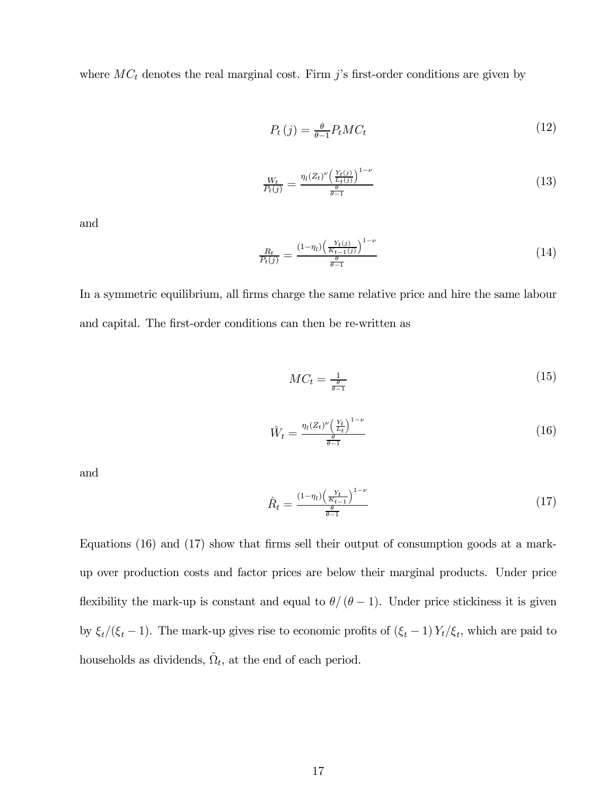where  $MC_t$  denotes the real marginal cost. Firm j's first-order conditions are given by

$$
P_t(j) = \frac{\theta}{\theta - 1} P_t M C_t \tag{12}
$$

$$
\frac{W_t}{P_t(j)} = \frac{\eta_l(Z_t)^{\nu} \left(\frac{Y_t(j)}{L_t(j)}\right)^{1-\nu}}{\frac{\theta}{\theta-1}}
$$
\n(13)

and

$$
\frac{R_t}{P_t(j)} = \frac{(1 - \eta_l) \left(\frac{Y_t(j)}{K_{t-1}(j)}\right)^{1-\nu}}{\frac{\theta}{\theta - 1}}
$$
(14)

In a symmetric equilibrium, all firms charge the same relative price and hire the same labour and capital. The first-order conditions can then be re-written as

$$
MC_t = \frac{1}{\frac{\theta}{\theta - 1}}\tag{15}
$$

$$
\hat{W}_t = \frac{\eta_l (Z_t)^{\nu} \left(\frac{Y_t}{L_t}\right)^{1-\nu}}{\frac{\theta}{\theta - 1}}
$$
\n(16)

and

$$
\hat{R}_t = \frac{(1 - \eta_t) \left(\frac{Y_t}{K_{t-1}}\right)^{1-\nu}}{\frac{\theta}{\theta - 1}}
$$
\n(17)

Equations (16) and (17) show that firms sell their output of consumption goods at a markup over production costs and factor prices are below their marginal products. Under price flexibility the mark-up is constant and equal to  $\theta/(\theta-1)$ . Under price stickiness it is given by  $\xi_t/(\xi_t - 1)$ . The mark-up gives rise to economic profits of  $(\xi_t - 1) Y_t/\xi_t$ , which are paid to households as dividends,  $\hat{\Omega}_t$ , at the end of each period.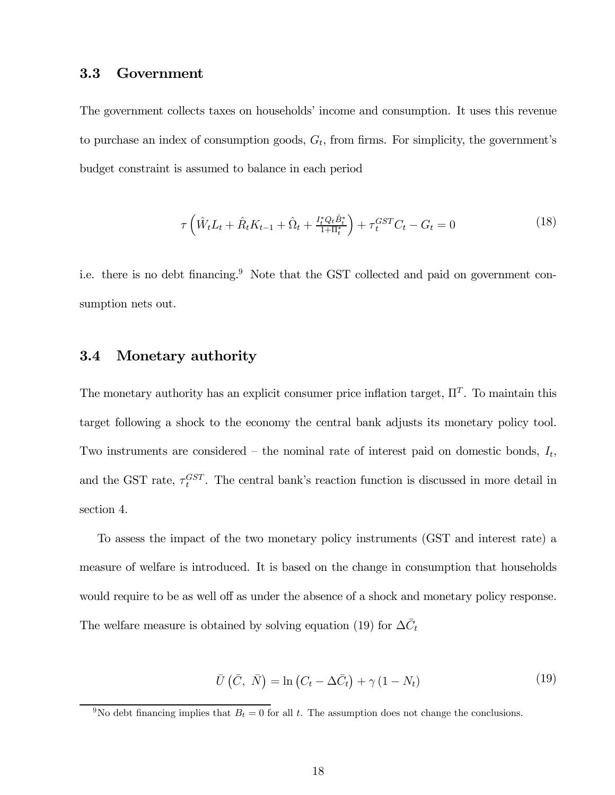# 3.3 Government

The government collects taxes on households' income and consumption. It uses this revenue to purchase an index of consumption goods,  $G_t$ , from firms. For simplicity, the government's budget constraint is assumed to balance in each period

$$
\tau \left( \hat{W}_t L_t + \hat{R}_t K_{t-1} + \hat{\Omega}_t + \frac{I_t^* Q_t \hat{B}_t^*}{1 + \Pi_t^*} \right) + \tau_t^{GST} C_t - G_t = 0 \tag{18}
$$

i.e. there is no debt financing.<sup>9</sup> Note that the GST collected and paid on government consumption nets out.

#### 3.4 Monetary authority

The monetary authority has an explicit consumer price inflation target,  $\Pi^T$ . To maintain this target following a shock to the economy the central bank adjusts its monetary policy tool. Two instruments are considered – the nominal rate of interest paid on domestic bonds,  $I_t$ , and the GST rate,  $\tau_t^{GST}$ . The central bank's reaction function is discussed in more detail in section 4.

To assess the impact of the two monetary policy instruments (GST and interest rate) a measure of welfare is introduced. It is based on the change in consumption that households would require to be as well off as under the absence of a shock and monetary policy response. The welfare measure is obtained by solving equation (19) for  $\Delta \bar{C}_t$ 

$$
\bar{U}(\bar{C}, \bar{N}) = \ln(C_t - \Delta \bar{C}_t) + \gamma (1 - N_t)
$$
\n(19)

<sup>&</sup>lt;sup>9</sup>No debt financing implies that  $B_t = 0$  for all t. The assumption does not change the conclusions.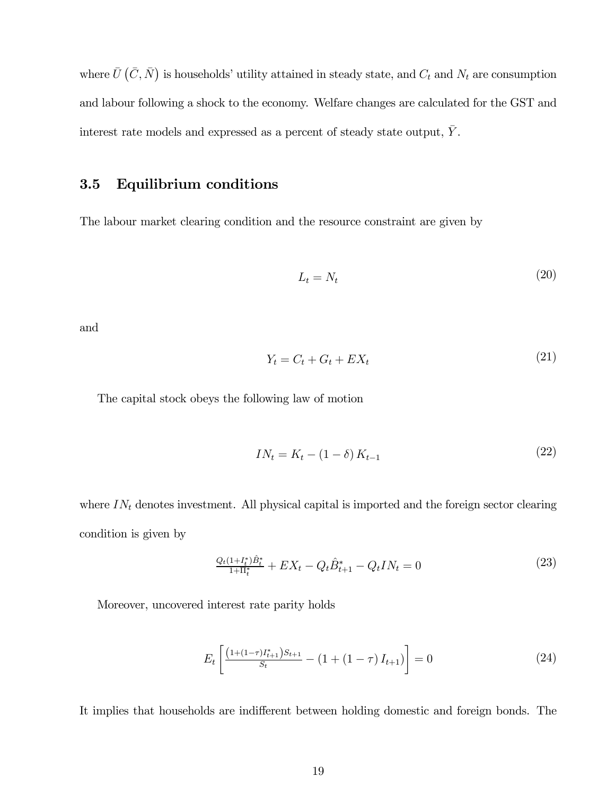where  $\bar{U}(\bar{C}, \bar{N})$  is households' utility attained in steady state, and  $C_t$  and  $N_t$  are consumption and labour following a shock to the economy. Welfare changes are calculated for the GST and interest rate models and expressed as a percent of steady state output,  $\bar{Y}.$ 

# 3.5 Equilibrium conditions

The labour market clearing condition and the resource constraint are given by

$$
L_t = N_t \tag{20}
$$

and

$$
Y_t = C_t + G_t + EX_t \tag{21}
$$

The capital stock obeys the following law of motion

$$
IN_t = K_t - (1 - \delta) K_{t-1}
$$
\n(22)

where  $IN<sub>t</sub>$  denotes investment. All physical capital is imported and the foreign sector clearing condition is given by

$$
\frac{Q_t(1+I_t^*)\hat{B}_t^*}{1+\Pi_t^*} + EX_t - Q_t\hat{B}_{t+1}^* - Q_tIN_t = 0
$$
\n(23)

Moreover, uncovered interest rate parity holds

$$
E_t \left[ \frac{\left(1 + (1 - \tau)I_{t+1}^* \right)S_{t+1}}{S_t} - \left(1 + (1 - \tau)I_{t+1}\right) \right] = 0 \tag{24}
$$

It implies that households are indifferent between holding domestic and foreign bonds. The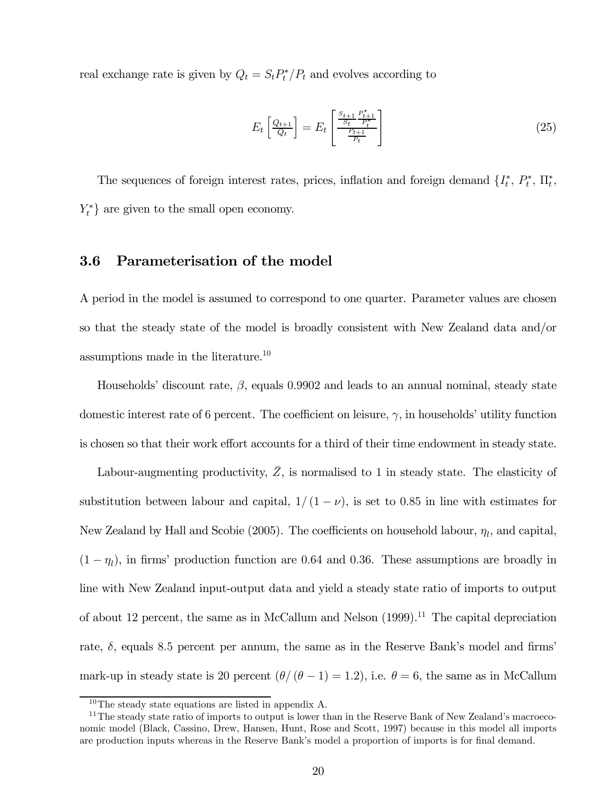real exchange rate is given by  $Q_t = S_t P_t^* / P_t$  and evolves according to

$$
E_t\left[\frac{Q_{t+1}}{Q_t}\right] = E_t\left[\frac{\frac{S_{t+1}}{S_t}\frac{P_{t+1}^*}{P_t^*}}{\frac{P_{t+1}}{P_t}}\right]
$$
\n
$$
(25)
$$

The sequences of foreign interest rates, prices, inflation and foreign demand  $\{I_t^*, P_t^*, \Pi_t^*,$  $Y_t^*$  are given to the small open economy.

# 3.6 Parameterisation of the model

A period in the model is assumed to correspond to one quarter. Parameter values are chosen so that the steady state of the model is broadly consistent with New Zealand data and/or assumptions made in the literature.<sup>10</sup>

Households' discount rate,  $\beta$ , equals 0.9902 and leads to an annual nominal, steady state domestic interest rate of 6 percent. The coefficient on leisure,  $\gamma$ , in households' utility function is chosen so that their work effort accounts for a third of their time endowment in steady state.

Labour-augmenting productivity,  $\overline{Z}$ , is normalised to 1 in steady state. The elasticity of substitution between labour and capital,  $1/(1-\nu)$ , is set to 0.85 in line with estimates for New Zealand by Hall and Scobie (2005). The coefficients on household labour,  $\eta_l$ , and capital,  $(1 - \eta_l)$ , in firms' production function are 0.64 and 0.36. These assumptions are broadly in line with New Zealand input-output data and yield a steady state ratio of imports to output of about 12 percent, the same as in McCallum and Nelson  $(1999).<sup>11</sup>$  The capital depreciation rate,  $\delta$ , equals 8.5 percent per annum, the same as in the Reserve Bank's model and firms mark-up in steady state is 20 percent  $(\theta/(\theta - 1) = 1.2)$ , i.e.  $\theta = 6$ , the same as in McCallum

<sup>10</sup>The steady state equations are listed in appendix A.

<sup>&</sup>lt;sup>11</sup>The steady state ratio of imports to output is lower than in the Reserve Bank of New Zealand's macroeconomic model (Black, Cassino, Drew, Hansen, Hunt, Rose and Scott, 1997) because in this model all imports are production inputs whereas in the Reserve Bank's model a proportion of imports is for final demand.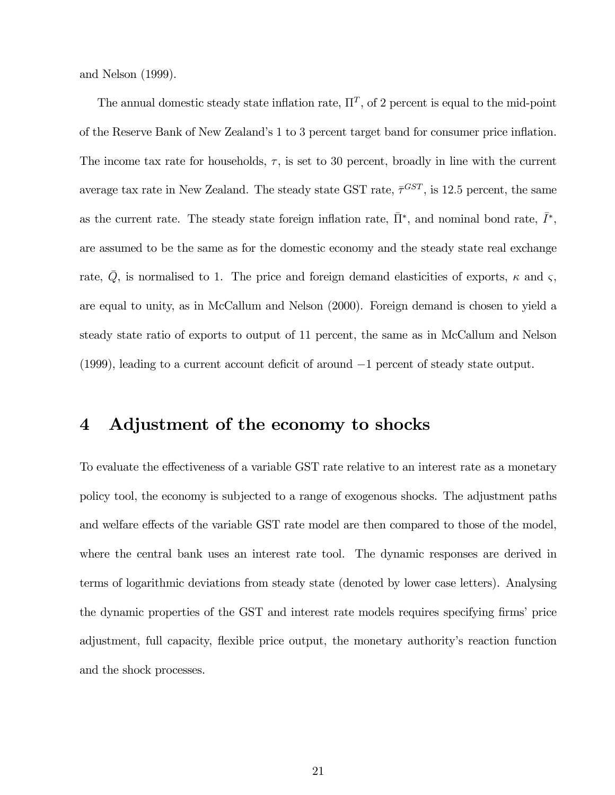and Nelson (1999).

The annual domestic steady state inflation rate,  $\Pi^T$ , of 2 percent is equal to the mid-point of the Reserve Bank of New Zealand's 1 to 3 percent target band for consumer price inflation. The income tax rate for households,  $\tau$ , is set to 30 percent, broadly in line with the current average tax rate in New Zealand. The steady state GST rate,  $\bar{\tau}^{GST}$ , is 12.5 percent, the same as the current rate. The steady state foreign inflation rate,  $\bar{\Pi}^*$ , and nominal bond rate,  $\bar{I}^*$ , are assumed to be the same as for the domestic economy and the steady state real exchange rate,  $\overline{Q}$ , is normalised to 1. The price and foreign demand elasticities of exports,  $\kappa$  and  $\varsigma$ , are equal to unity, as in McCallum and Nelson (2000). Foreign demand is chosen to yield a steady state ratio of exports to output of 11 percent, the same as in McCallum and Nelson (1999), leading to a current account deficit of around −1 percent of steady state output.

# 4 Adjustment of the economy to shocks

To evaluate the effectiveness of a variable GST rate relative to an interest rate as a monetary policy tool, the economy is subjected to a range of exogenous shocks. The adjustment paths and welfare effects of the variable GST rate model are then compared to those of the model, where the central bank uses an interest rate tool. The dynamic responses are derived in terms of logarithmic deviations from steady state (denoted by lower case letters). Analysing the dynamic properties of the GST and interest rate models requires specifying firms' price adjustment, full capacity, flexible price output, the monetary authority's reaction function and the shock processes.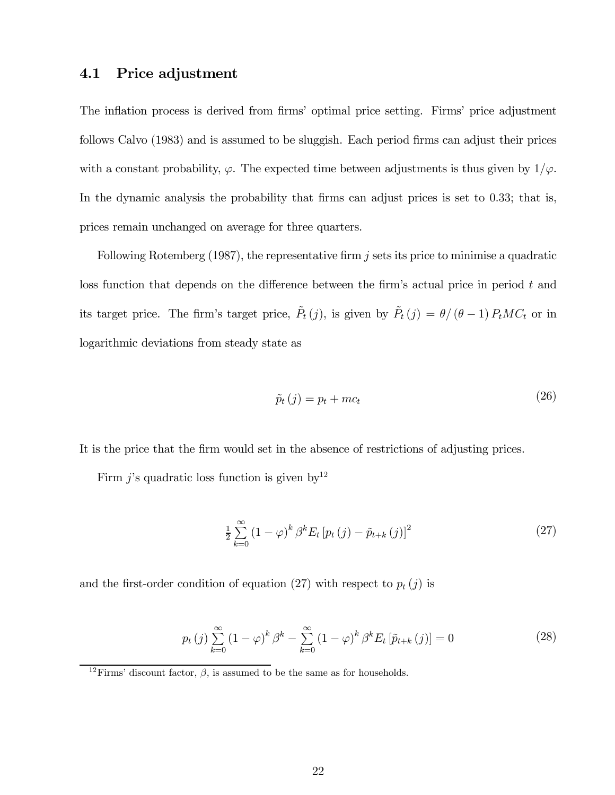# 4.1 Price adjustment

The inflation process is derived from firms' optimal price setting. Firms' price adjustment follows Calvo (1983) and is assumed to be sluggish. Each period firms can adjust their prices with a constant probability,  $\varphi$ . The expected time between adjustments is thus given by  $1/\varphi$ . In the dynamic analysis the probability that firms can adjust prices is set to 0.33; that is, prices remain unchanged on average for three quarters.

Following Rotemberg  $(1987)$ , the representative firm j sets its price to minimise a quadratic loss function that depends on the difference between the firm's actual price in period  $t$  and its target price. The firm's target price,  $\tilde{P}_t(j)$ , is given by  $\tilde{P}_t(j) = \theta/(\theta - 1) P_tMC_t$  or in logarithmic deviations from steady state as

$$
\tilde{p}_t(j) = p_t + mc_t \tag{26}
$$

It is the price that the firm would set in the absence of restrictions of adjusting prices.

Firm  $j$ 's quadratic loss function is given by<sup>12</sup>

$$
\frac{1}{2} \sum_{k=0}^{\infty} \left(1 - \varphi\right)^k \beta^k E_t \left[p_t\left(j\right) - \tilde{p}_{t+k}\left(j\right)\right]^2 \tag{27}
$$

and the first-order condition of equation (27) with respect to  $p_t(j)$  is

$$
p_t(j) \sum_{k=0}^{\infty} (1 - \varphi)^k \beta^k - \sum_{k=0}^{\infty} (1 - \varphi)^k \beta^k E_t \left[ \tilde{p}_{t+k}(j) \right] = 0 \tag{28}
$$

<sup>&</sup>lt;sup>12</sup>Firms' discount factor,  $\beta$ , is assumed to be the same as for households.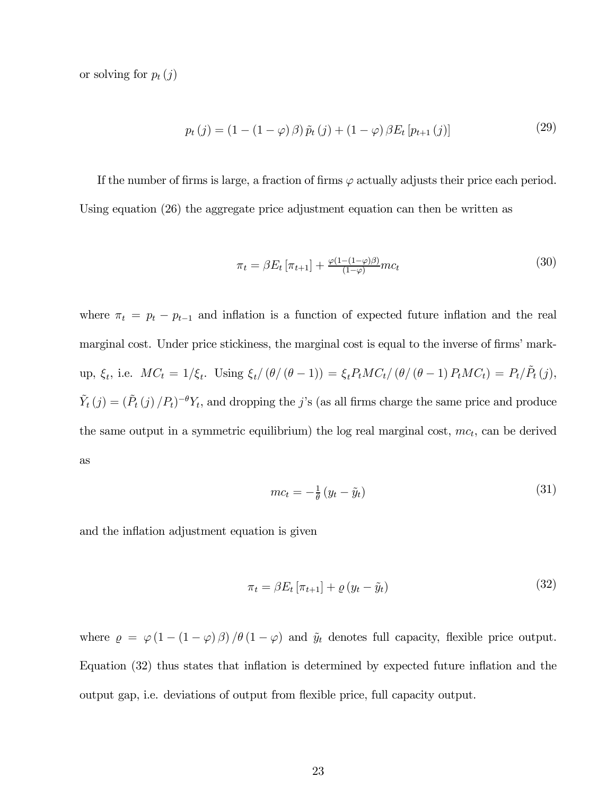or solving for  $p_t(j)$ 

$$
p_t(j) = (1 - (1 - \varphi)\beta)\tilde{p}_t(j) + (1 - \varphi)\beta E_t[p_{t+1}(j)]
$$
\n(29)

If the number of firms is large, a fraction of firms  $\varphi$  actually adjusts their price each period. Using equation (26) the aggregate price adjustment equation can then be written as

$$
\pi_t = \beta E_t \left[ \pi_{t+1} \right] + \frac{\varphi(1 - (1 - \varphi)\beta)}{(1 - \varphi)} m c_t \tag{30}
$$

where  $\pi_t = p_t - p_{t-1}$  and inflation is a function of expected future inflation and the real marginal cost. Under price stickiness, the marginal cost is equal to the inverse of firms' markup,  $\xi_t$ , i.e.  $MC_t = 1/\xi_t$ . Using  $\xi_t/(\theta/(\theta - 1)) = \xi_t P_t MC_t/(\theta/(\theta - 1) P_t MC_t) = P_t/\tilde{P}_t(j)$ ,  $\tilde{Y}_t(j)=(\tilde{P}_t(j) / P_t)^{-\theta}Y_t$ , and dropping the j's (as all firms charge the same price and produce the same output in a symmetric equilibrium) the log real marginal cost,  $mc_t$ , can be derived as

$$
mc_t = -\frac{1}{\theta} \left( y_t - \tilde{y}_t \right) \tag{31}
$$

and the inflation adjustment equation is given

$$
\pi_t = \beta E_t \left[ \pi_{t+1} \right] + \varrho \left( y_t - \tilde{y}_t \right) \tag{32}
$$

where  $\rho = \varphi(1 - (1 - \varphi) \beta) / \theta (1 - \varphi)$  and  $\tilde{y}_t$  denotes full capacity, flexible price output. Equation (32) thus states that inflation is determined by expected future inflation and the output gap, i.e. deviations of output from flexible price, full capacity output.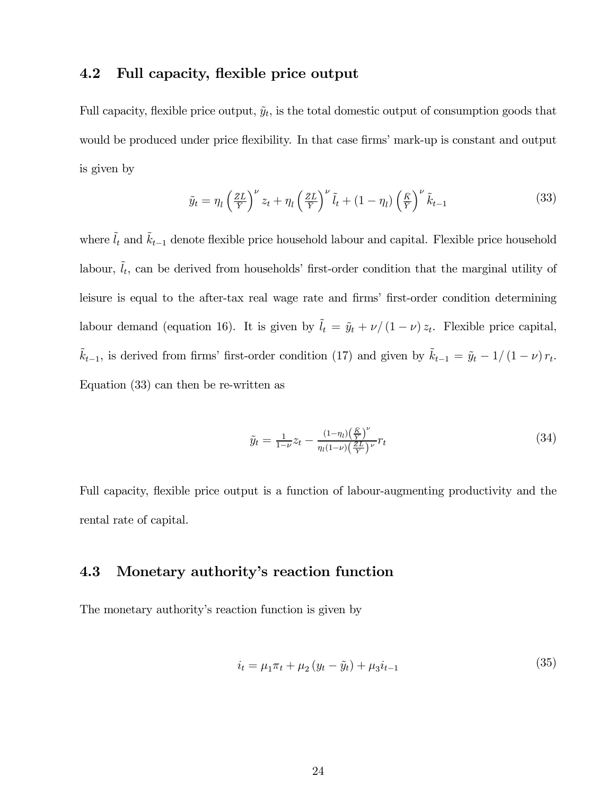# 4.2 Full capacity, flexible price output

Full capacity, flexible price output,  $\tilde{y}_t$ , is the total domestic output of consumption goods that would be produced under price flexibility. In that case firms' mark-up is constant and output is given by

$$
\tilde{y}_t = \eta_l \left(\frac{\bar{z}\bar{L}}{\bar{Y}}\right)^{\nu} z_t + \eta_l \left(\frac{\bar{z}\bar{L}}{\bar{Y}}\right)^{\nu} \tilde{l}_t + (1 - \eta_l) \left(\frac{\bar{K}}{\bar{Y}}\right)^{\nu} \tilde{k}_{t-1}
$$
\n(33)

where  $\tilde{l}_t$  and  $\tilde{k}_{t-1}$  denote flexible price household labour and capital. Flexible price household labour,  $\tilde{l}_t$ , can be derived from households' first-order condition that the marginal utility of leisure is equal to the after-tax real wage rate and firms' first-order condition determining labour demand (equation 16). It is given by  $\tilde{l}_t = \tilde{y}_t + \nu/(1 - \nu) z_t$ . Flexible price capital,  $\tilde{k}_{t-1}$ , is derived from firms' first-order condition (17) and given by  $\tilde{k}_{t-1} = \tilde{y}_t - 1/(1 - \nu) r_t$ . Equation (33) can then be re-written as

$$
\tilde{y}_t = \frac{1}{1 - \nu} z_t - \frac{(1 - \eta_t) \left(\frac{\bar{K}}{Y}\right)^{\nu}}{\eta_t (1 - \nu) \left(\frac{\bar{Z}L}{Y}\right)^{\nu}} r_t
$$
\n(34)

Full capacity, flexible price output is a function of labour-augmenting productivity and the rental rate of capital.

# 4.3 Monetary authority's reaction function

The monetary authority's reaction function is given by

$$
i_t = \mu_1 \pi_t + \mu_2 (y_t - \tilde{y}_t) + \mu_3 i_{t-1}
$$
\n(35)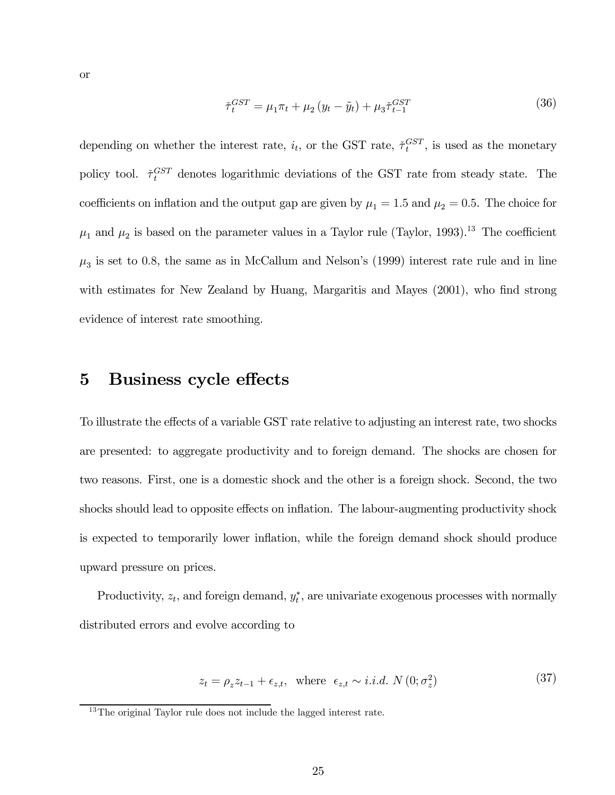$$
\tilde{\tau}_t^{GST} = \mu_1 \pi_t + \mu_2 \left( y_t - \tilde{y}_t \right) + \mu_3 \tilde{\tau}_{t-1}^{GST} \tag{36}
$$

depending on whether the interest rate,  $i_t$ , or the GST rate,  $\tilde{\tau}_t^{GST}$ , is used as the monetary policy tool.  $\tilde{\tau}_t^{GST}$  denotes logarithmic deviations of the GST rate from steady state. The coefficients on inflation and the output gap are given by  $\mu_1 = 1.5$  and  $\mu_2 = 0.5$ . The choice for  $\mu_1$  and  $\mu_2$  is based on the parameter values in a Taylor rule (Taylor, 1993).<sup>13</sup> The coefficient  $\mu_3$  is set to 0.8, the same as in McCallum and Nelson's (1999) interest rate rule and in line with estimates for New Zealand by Huang, Margaritis and Mayes (2001), who find strong evidence of interest rate smoothing.

# 5 Business cycle effects

To illustrate the effects of a variable GST rate relative to adjusting an interest rate, two shocks are presented: to aggregate productivity and to foreign demand. The shocks are chosen for two reasons. First, one is a domestic shock and the other is a foreign shock. Second, the two shocks should lead to opposite effects on inflation. The labour-augmenting productivity shock is expected to temporarily lower inflation, while the foreign demand shock should produce upward pressure on prices.

Productivity,  $z_t$ , and foreign demand,  $y_t^*$ , are univariate exogenous processes with normally distributed errors and evolve according to

$$
z_t = \rho_z z_{t-1} + \epsilon_{z,t}, \text{ where } \epsilon_{z,t} \sim i.i.d. \ N(0; \sigma_z^2)
$$
 (37)

 $13$ The original Taylor rule does not include the lagged interest rate.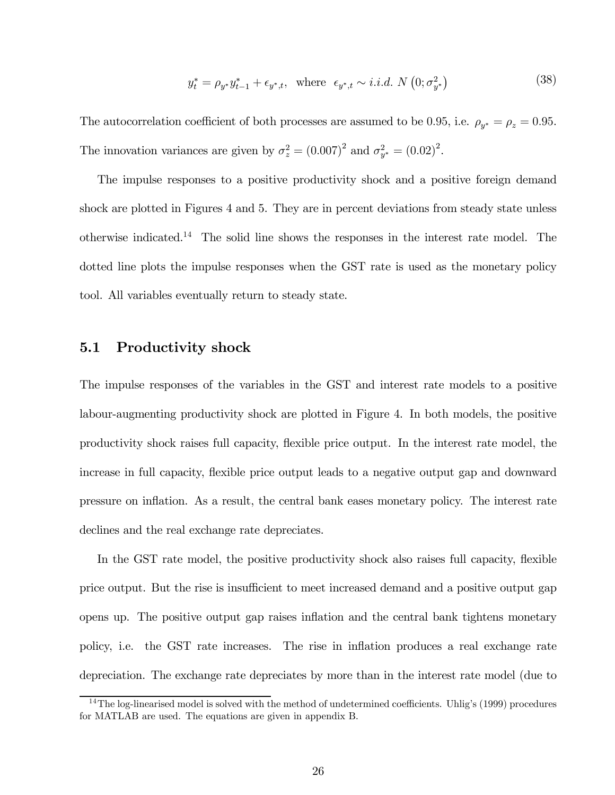$$
y_t^* = \rho_{y^*} y_{t-1}^* + \epsilon_{y^*,t}, \text{ where } \epsilon_{y^*,t} \sim i.i.d. \ N\left(0; \sigma_{y^*}^2\right) \tag{38}
$$

The autocorrelation coefficient of both processes are assumed to be 0.95, i.e.  $\rho_{y^*} = \rho_z = 0.95$ . The innovation variances are given by  $\sigma_z^2 = (0.007)^2$  and  $\sigma_{y^*}^2 = (0.02)^2$ .

The impulse responses to a positive productivity shock and a positive foreign demand shock are plotted in Figures 4 and 5. They are in percent deviations from steady state unless otherwise indicated.<sup>14</sup> The solid line shows the responses in the interest rate model. The dotted line plots the impulse responses when the GST rate is used as the monetary policy tool. All variables eventually return to steady state.

#### 5.1 Productivity shock

The impulse responses of the variables in the GST and interest rate models to a positive labour-augmenting productivity shock are plotted in Figure 4. In both models, the positive productivity shock raises full capacity, flexible price output. In the interest rate model, the increase in full capacity, flexible price output leads to a negative output gap and downward pressure on inflation. As a result, the central bank eases monetary policy. The interest rate declines and the real exchange rate depreciates.

In the GST rate model, the positive productivity shock also raises full capacity, flexible price output. But the rise is insufficient to meet increased demand and a positive output gap opens up. The positive output gap raises inflation and the central bank tightens monetary policy, i.e. the GST rate increases. The rise in inflation produces a real exchange rate depreciation. The exchange rate depreciates by more than in the interest rate model (due to

<sup>&</sup>lt;sup>14</sup>The log-linearised model is solved with the method of undetermined coefficients. Uhlig's (1999) procedures for MATLAB are used. The equations are given in appendix B.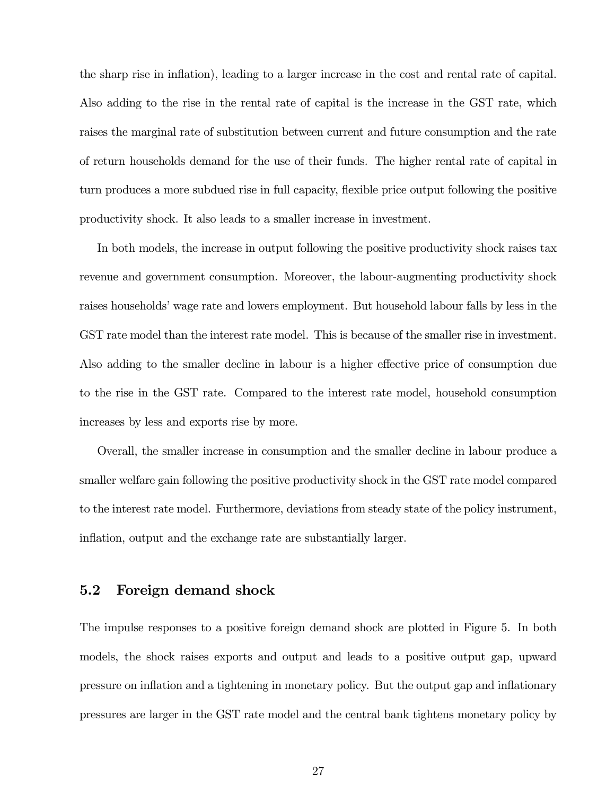the sharp rise in inflation), leading to a larger increase in the cost and rental rate of capital. Also adding to the rise in the rental rate of capital is the increase in the GST rate, which raises the marginal rate of substitution between current and future consumption and the rate of return households demand for the use of their funds. The higher rental rate of capital in turn produces a more subdued rise in full capacity, flexible price output following the positive productivity shock. It also leads to a smaller increase in investment.

In both models, the increase in output following the positive productivity shock raises tax revenue and government consumption. Moreover, the labour-augmenting productivity shock raises households' wage rate and lowers employment. But household labour falls by less in the GST rate model than the interest rate model. This is because of the smaller rise in investment. Also adding to the smaller decline in labour is a higher effective price of consumption due to the rise in the GST rate. Compared to the interest rate model, household consumption increases by less and exports rise by more.

Overall, the smaller increase in consumption and the smaller decline in labour produce a smaller welfare gain following the positive productivity shock in the GST rate model compared to the interest rate model. Furthermore, deviations from steady state of the policy instrument, inflation, output and the exchange rate are substantially larger.

#### 5.2 Foreign demand shock

The impulse responses to a positive foreign demand shock are plotted in Figure 5. In both models, the shock raises exports and output and leads to a positive output gap, upward pressure on inflation and a tightening in monetary policy. But the output gap and inflationary pressures are larger in the GST rate model and the central bank tightens monetary policy by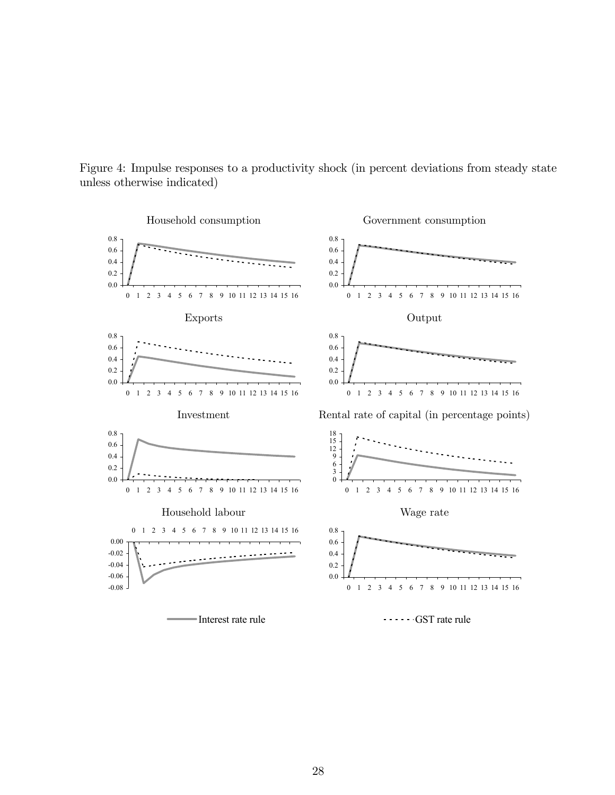

Figure 4: Impulse responses to a productivity shock (in percent deviations from steady state unless otherwise indicated)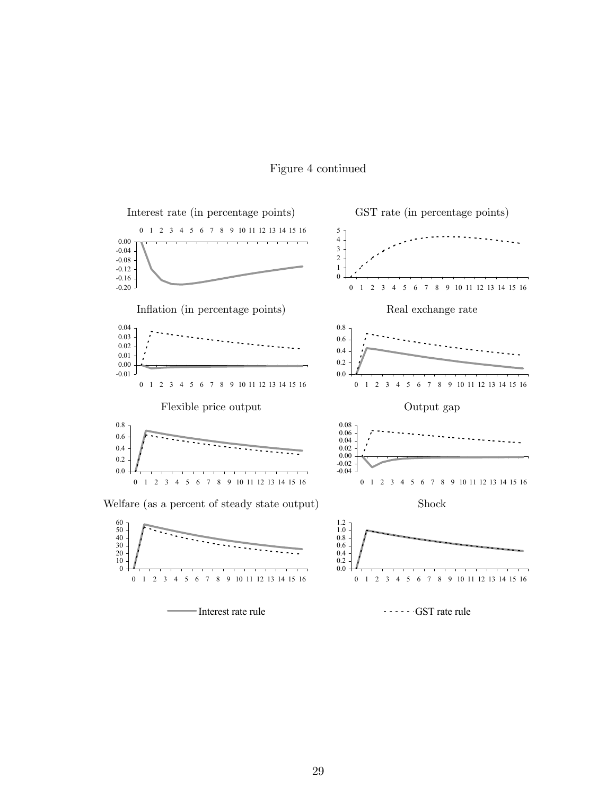

# Figure 4 continued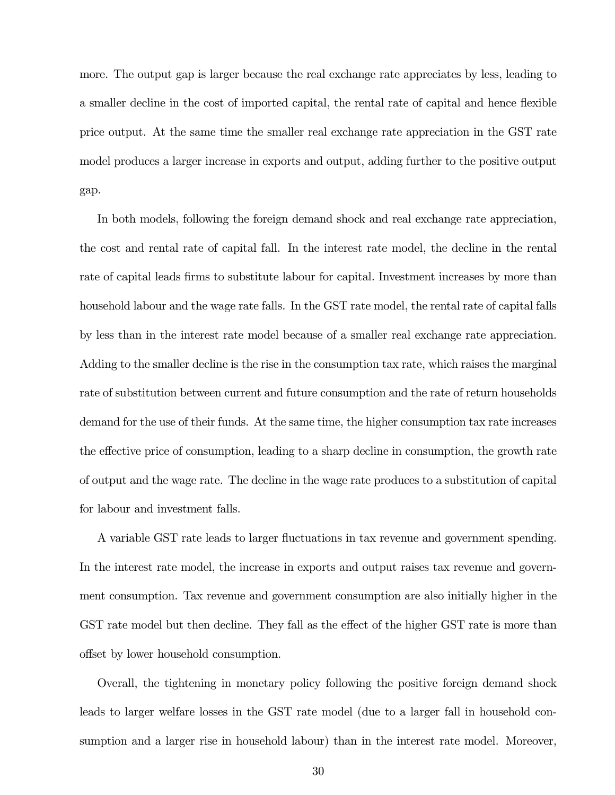more. The output gap is larger because the real exchange rate appreciates by less, leading to a smaller decline in the cost of imported capital, the rental rate of capital and hence flexible price output. At the same time the smaller real exchange rate appreciation in the GST rate model produces a larger increase in exports and output, adding further to the positive output gap.

In both models, following the foreign demand shock and real exchange rate appreciation, the cost and rental rate of capital fall. In the interest rate model, the decline in the rental rate of capital leads firms to substitute labour for capital. Investment increases by more than household labour and the wage rate falls. In the GST rate model, the rental rate of capital falls by less than in the interest rate model because of a smaller real exchange rate appreciation. Adding to the smaller decline is the rise in the consumption tax rate, which raises the marginal rate of substitution between current and future consumption and the rate of return households demand for the use of their funds. At the same time, the higher consumption tax rate increases the effective price of consumption, leading to a sharp decline in consumption, the growth rate of output and the wage rate. The decline in the wage rate produces to a substitution of capital for labour and investment falls.

A variable GST rate leads to larger fluctuations in tax revenue and government spending. In the interest rate model, the increase in exports and output raises tax revenue and government consumption. Tax revenue and government consumption are also initially higher in the GST rate model but then decline. They fall as the effect of the higher GST rate is more than offset by lower household consumption.

Overall, the tightening in monetary policy following the positive foreign demand shock leads to larger welfare losses in the GST rate model (due to a larger fall in household consumption and a larger rise in household labour) than in the interest rate model. Moreover,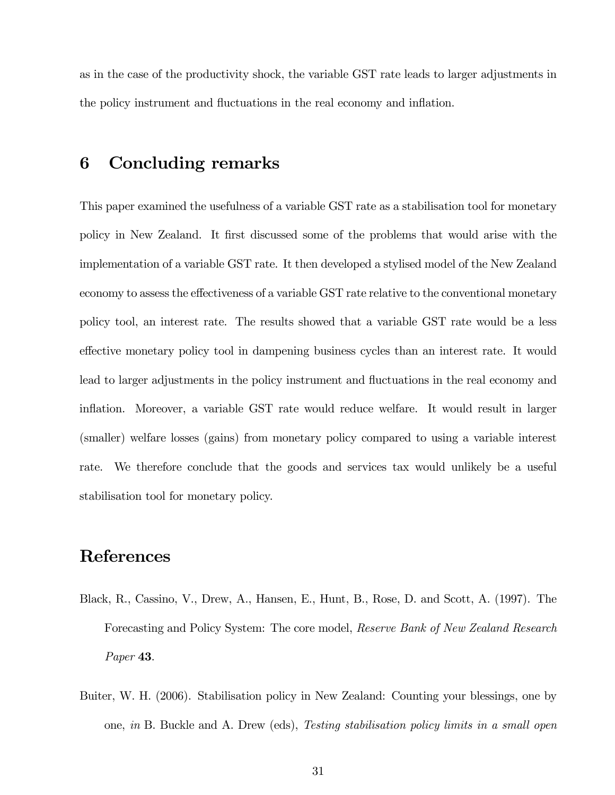as in the case of the productivity shock, the variable GST rate leads to larger adjustments in the policy instrument and fluctuations in the real economy and inflation.

# 6 Concluding remarks

This paper examined the usefulness of a variable GST rate as a stabilisation tool for monetary policy in New Zealand. It first discussed some of the problems that would arise with the implementation of a variable GST rate. It then developed a stylised model of the New Zealand economy to assess the effectiveness of a variable GST rate relative to the conventional monetary policy tool, an interest rate. The results showed that a variable GST rate would be a less effective monetary policy tool in dampening business cycles than an interest rate. It would lead to larger adjustments in the policy instrument and fluctuations in the real economy and inflation. Moreover, a variable GST rate would reduce welfare. It would result in larger (smaller) welfare losses (gains) from monetary policy compared to using a variable interest rate. We therefore conclude that the goods and services tax would unlikely be a useful stabilisation tool for monetary policy.

# **References**

- Black, R., Cassino, V., Drew, A., Hansen, E., Hunt, B., Rose, D. and Scott, A. (1997). The Forecasting and Policy System: The core model, Reserve Bank of New Zealand Research Paper 43.
- Buiter, W. H. (2006). Stabilisation policy in New Zealand: Counting your blessings, one by one, in B. Buckle and A. Drew (eds), Testing stabilisation policy limits in a small open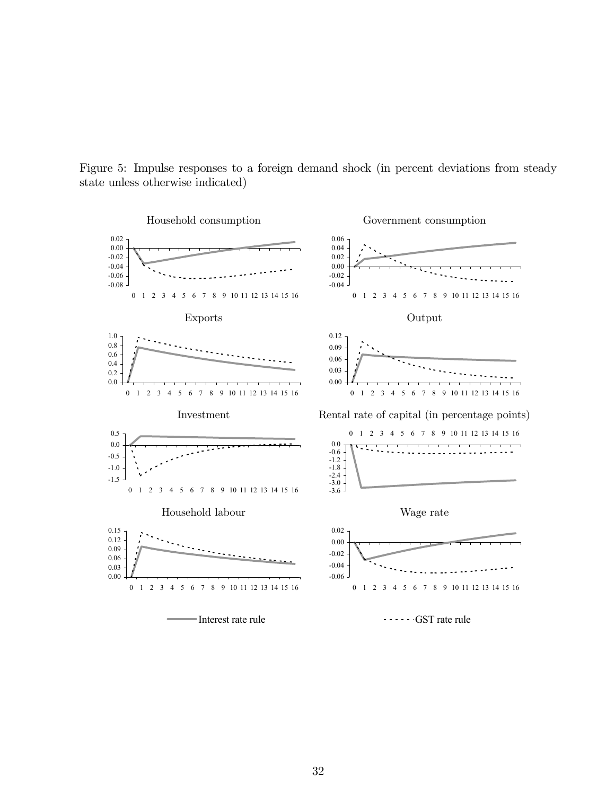

Figure 5: Impulse responses to a foreign demand shock (in percent deviations from steady state unless otherwise indicated)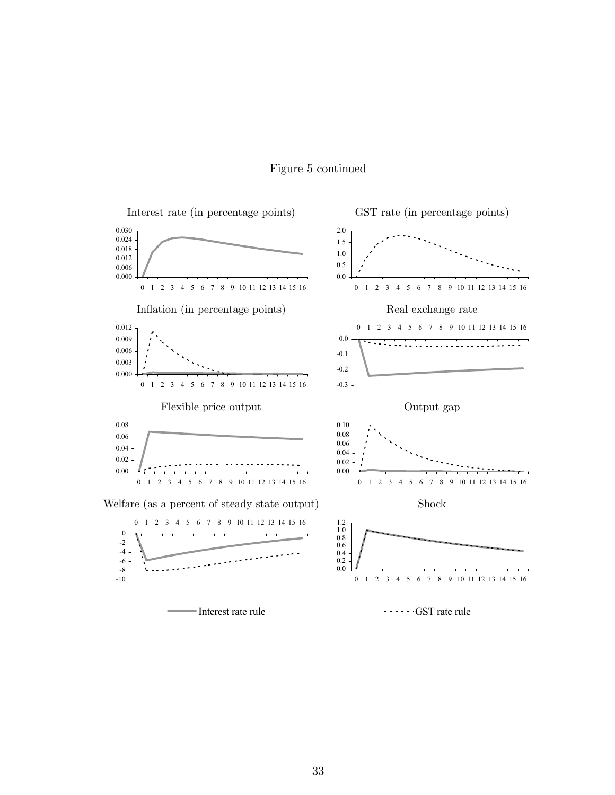

### Figure 5 continued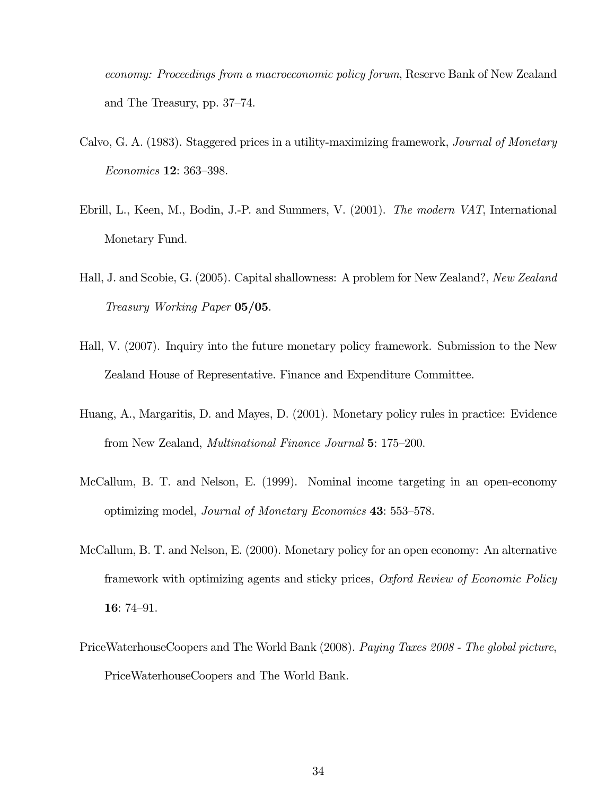economy: Proceedings from a macroeconomic policy forum, Reserve Bank of New Zealand and The Treasury, pp. 37—74.

- Calvo, G. A. (1983). Staggered prices in a utility-maximizing framework, Journal of Monetary Economics 12: 363—398.
- Ebrill, L., Keen, M., Bodin, J.-P. and Summers, V. (2001). The modern VAT, International Monetary Fund.
- Hall, J. and Scobie, G. (2005). Capital shallowness: A problem for New Zealand?, New Zealand Treasury Working Paper 05/05.
- Hall, V. (2007). Inquiry into the future monetary policy framework. Submission to the New Zealand House of Representative. Finance and Expenditure Committee.
- Huang, A., Margaritis, D. and Mayes, D. (2001). Monetary policy rules in practice: Evidence from New Zealand, Multinational Finance Journal 5: 175—200.
- McCallum, B. T. and Nelson, E. (1999). Nominal income targeting in an open-economy optimizing model, *Journal of Monetary Economics* 43: 553–578.
- McCallum, B. T. and Nelson, E. (2000). Monetary policy for an open economy: An alternative framework with optimizing agents and sticky prices, Oxford Review of Economic Policy 16: 74—91.
- PriceWaterhouseCoopers and The World Bank (2008). Paying Taxes 2008 The global picture, PriceWaterhouseCoopers and The World Bank.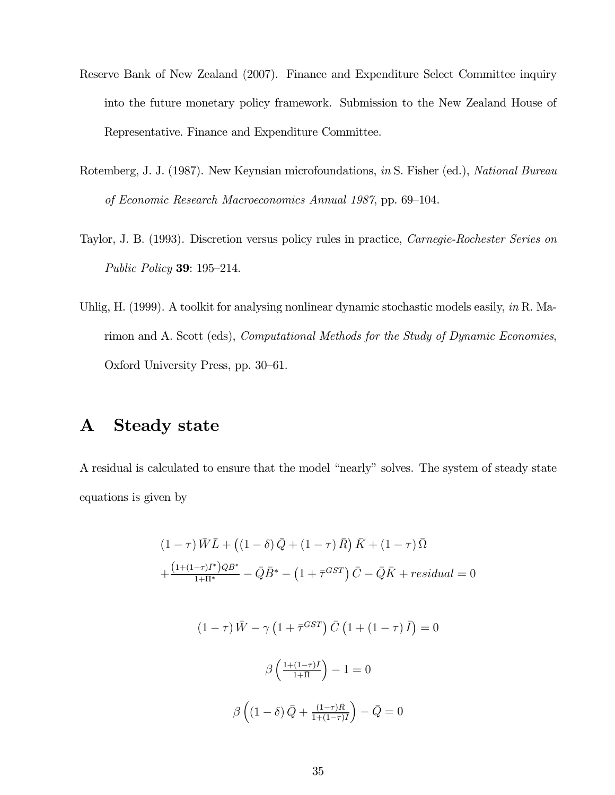- Reserve Bank of New Zealand (2007). Finance and Expenditure Select Committee inquiry into the future monetary policy framework. Submission to the New Zealand House of Representative. Finance and Expenditure Committee.
- Rotemberg, J. J. (1987). New Keynsian microfoundations, in S. Fisher (ed.), National Bureau of Economic Research Macroeconomics Annual 1987, pp. 69—104.
- Taylor, J. B. (1993). Discretion versus policy rules in practice, Carnegie-Rochester Series on Public Policy 39: 195—214.
- Uhlig, H. (1999). A toolkit for analysing nonlinear dynamic stochastic models easily, *in* R. Marimon and A. Scott (eds), Computational Methods for the Study of Dynamic Economies, Oxford University Press, pp. 30—61.

# A Steady state

A residual is calculated to ensure that the model "nearly" solves. The system of steady state equations is given by

$$
(1 - \tau)\bar{W}\bar{L} + ((1 - \delta)\bar{Q} + (1 - \tau)\bar{R})\bar{K} + (1 - \tau)\bar{\Omega}
$$

$$
+\frac{(1 + (1 - \tau)\bar{I}^*)\bar{Q}\bar{B}^*}{1 + \bar{\Pi}^*} - \bar{Q}\bar{B}^* - (1 + \bar{\tau}^{GST})\bar{C} - \bar{Q}\bar{K} + residual = 0
$$

$$
(1 - \tau)\bar{W} - \gamma\left(1 + \bar{\tau}^{GST}\right)\bar{C}\left(1 + (1 - \tau)\bar{I}\right) = 0
$$

$$
\beta\left(\frac{1 + (1 - \tau)\bar{I}}{1 + \bar{\Pi}}\right) - 1 = 0
$$

$$
\beta\left((1 - \delta)\bar{Q} + \frac{(1 - \tau)\bar{R}}{1 + (1 - \tau)\bar{I}}\right) - \bar{Q} = 0
$$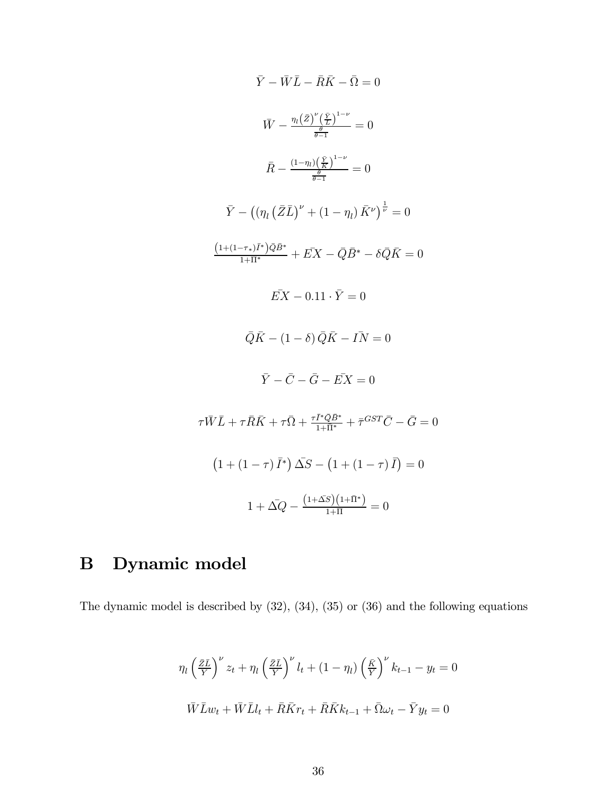$$
\bar{Y} - \bar{W}\bar{L} - \bar{R}\bar{K} - \bar{\Omega} = 0
$$
\n
$$
\bar{W} - \frac{\eta_l(\bar{Z})^{\nu}(\frac{\bar{Y}}{L})^{1-\nu}}{\frac{\theta}{\theta-1}} = 0
$$
\n
$$
\bar{R} - \frac{(1-\eta_l)(\frac{\bar{Y}}{K})^{1-\nu}}{\frac{\theta}{\theta-1}} = 0
$$
\n
$$
\bar{Y} - ((\eta_l(\bar{Z}\bar{L})^{\nu} + (1-\eta_l)\bar{K}^{\nu})^{\frac{1}{\nu}} = 0
$$
\n
$$
\frac{(1+(1-\tau_*)\bar{I}^*)\bar{Q}\bar{B}^*}{1+\bar{II}^*} + \bar{E}X - \bar{Q}\bar{B}^* - \delta\bar{Q}\bar{K} = 0
$$
\n
$$
\bar{E}X - 0.11 \cdot \bar{Y} = 0
$$
\n
$$
\bar{Q}\bar{K} - (1-\delta)\bar{Q}\bar{K} - I\bar{N} = 0
$$
\n
$$
\bar{Y} - \bar{C} - \bar{G} - \bar{E}X = 0
$$
\n
$$
\tau\bar{W}\bar{L} + \tau\bar{R}\bar{K} + \tau\bar{\Omega} + \frac{\tau\bar{I}^*\bar{Q}\bar{B}^*}{1+\bar{II}^*} + \tau^{GST}\bar{C} - \bar{G} = 0
$$
\n
$$
(1 + (1-\tau)\bar{I}^*)\bar{\Delta}S - (1 + (1-\tau)\bar{I}) = 0
$$
\n
$$
1 + \bar{\Delta}Q - \frac{(1+\bar{\Delta}S)(1+\bar{II}^*)}{1+\bar{II}} = 0
$$

# B Dynamic model

The dynamic model is described by (32), (34), (35) or (36) and the following equations

$$
\eta_l \left(\frac{\bar{z}\bar{L}}{\bar{Y}}\right)^{\nu} z_t + \eta_l \left(\frac{\bar{z}\bar{L}}{\bar{Y}}\right)^{\nu} l_t + (1 - \eta_l) \left(\frac{\bar{K}}{\bar{Y}}\right)^{\nu} k_{t-1} - y_t = 0
$$
  

$$
\bar{W}\bar{L}w_t + \bar{W}\bar{L}l_t + \bar{R}\bar{K}r_t + \bar{R}\bar{K}k_{t-1} + \bar{\Omega}\omega_t - \bar{Y}y_t = 0
$$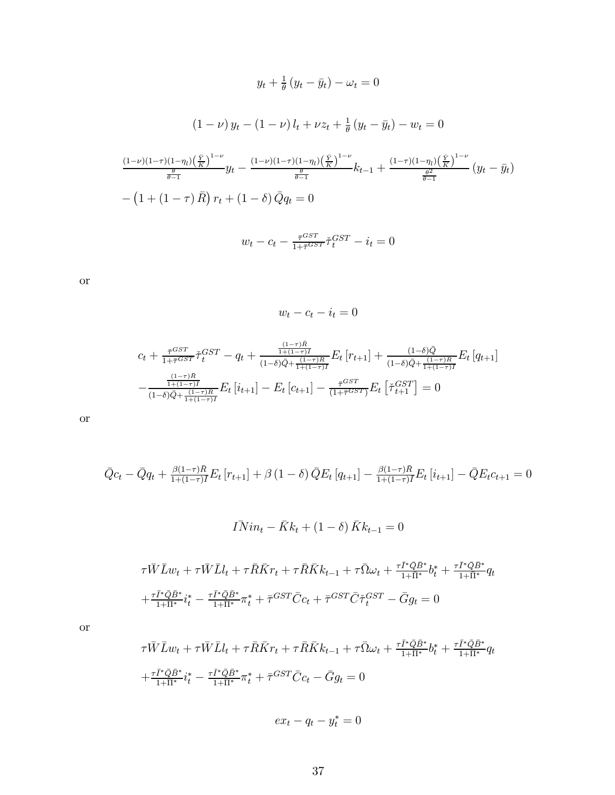$$
y_t + \frac{1}{\theta} (y_t - \bar{y}_t) - \omega_t = 0
$$
  

$$
(1 - \nu) y_t - (1 - \nu) l_t + \nu z_t + \frac{1}{\theta} (y_t - \bar{y}_t) - w_t = 0
$$
  

$$
\frac{(1 - \nu)(1 - \tau)(1 - \eta_t)(\frac{\bar{Y}}{K})^{1 - \nu}}{\frac{\theta}{\theta - 1}} y_t - \frac{(1 - \nu)(1 - \tau)(1 - \eta_t)(\frac{\bar{Y}}{K})^{1 - \nu}}{\frac{\theta}{\theta - 1}} k_{t-1} + \frac{(1 - \tau)(1 - \eta_t)(\frac{\bar{Y}}{K})^{1 - \nu}}{\frac{\theta^2}{\theta - 1}} (y_t - \bar{y}_t)
$$
  

$$
- (1 + (1 - \tau) \bar{R}) r_t + (1 - \delta) \bar{Q} q_t = 0
$$
  

$$
w_t - c_t - \frac{\bar{\tau}^{GST}}{1 + \bar{\tau}^{GST}} \check{\tau}_t^{GST} - i_t = 0
$$

or

 $w_t - c_t - i_t = 0$ 

$$
c_{t} + \frac{\bar{\tau}^{GST}}{1+\bar{\tau}^{GST}} \check{\tau}_{t}^{GST} - q_{t} + \frac{\frac{(1-\tau)\bar{R}}{1+(1-\tau)\bar{I}}}{(1-\delta)\bar{Q} + \frac{(1-\tau)\bar{R}}{1+(1-\tau)\bar{I}}} E_{t} \left[ r_{t+1} \right] + \frac{(1-\delta)\bar{Q}}{(1-\delta)\bar{Q} + \frac{(1-\tau)\bar{R}}{1+(1-\tau)\bar{I}}} E_{t} \left[ q_{t+1} \right] - \frac{\frac{(1-\tau)\bar{R}}{1+(1-\tau)\bar{I}}}{(1-\delta)\bar{Q} + \frac{(1-\tau)\bar{R}}{1+(1-\tau)\bar{I}}} E_{t} \left[ i_{t+1} \right] - E_{t} \left[ c_{t+1} \right] - \frac{\bar{\tau}^{GST}}{(1+\bar{\tau}^{GST})} E_{t} \left[ \check{\tau}_{t+1}^{GST} \right] = 0
$$

or

$$
\bar{Q}c_t - \bar{Q}q_t + \frac{\beta(1-\tau)\bar{R}}{1+(1-\tau)\bar{I}}E_t[r_{t+1}] + \beta(1-\delta)\bar{Q}E_t[q_{t+1}] - \frac{\beta(1-\tau)\bar{R}}{1+(1-\tau)\bar{I}}E_t[i_{t+1}] - \bar{Q}E_t c_{t+1} = 0
$$

$$
\overline{IN}in_t - \overline{K}k_t + (1 - \delta)\overline{K}k_{t-1} = 0
$$

$$
\tau \bar{W} \bar{L} w_t + \tau \bar{W} \bar{L} l_t + \tau \bar{R} \bar{K} r_t + \tau \bar{R} \bar{K} k_{t-1} + \tau \bar{\Omega} \omega_t + \frac{\tau \bar{I}^* \bar{Q} \bar{B}^*}{1 + \bar{\Pi}^*} b_t^* + \frac{\tau \bar{I}^* \bar{Q} \bar{B}^*}{1 + \bar{\Pi}^*} q_t
$$

$$
+ \frac{\tau \bar{I}^* \bar{Q} \bar{B}^*}{1 + \bar{\Pi}^*} i_t^* - \frac{\tau \bar{I}^* \bar{Q} \bar{B}^*}{1 + \bar{\Pi}^*} \pi_t^* + \bar{\tau}^{GST} \bar{C} c_t + \bar{\tau}^{GST} \bar{C} \tilde{\tau}_t^{GST} - \bar{G} g_t = 0
$$

or

$$
\tau \bar{W} \bar{L} w_t + \tau \bar{W} \bar{L} l_t + \tau \bar{R} \bar{K} r_t + \tau \bar{R} \bar{K} k_{t-1} + \tau \bar{\Omega} \omega_t + \frac{\tau \bar{I}^* \bar{Q} \bar{B}^*}{1 + \bar{\Pi}^*} b_t^* + \frac{\tau \bar{I}^* \bar{Q} \bar{B}^*}{1 + \bar{\Pi}^*} q_t
$$

$$
+ \frac{\tau \bar{I}^* \bar{Q} \bar{B}^*}{1 + \bar{\Pi}^*} i_t^* - \frac{\tau \bar{I}^* \bar{Q} \bar{B}^*}{1 + \bar{\Pi}^*} \pi_t^* + \bar{\tau}^{GST} \bar{C} c_t - \bar{G} g_t = 0
$$

 $ex_t - q_t - y_t^* = 0$